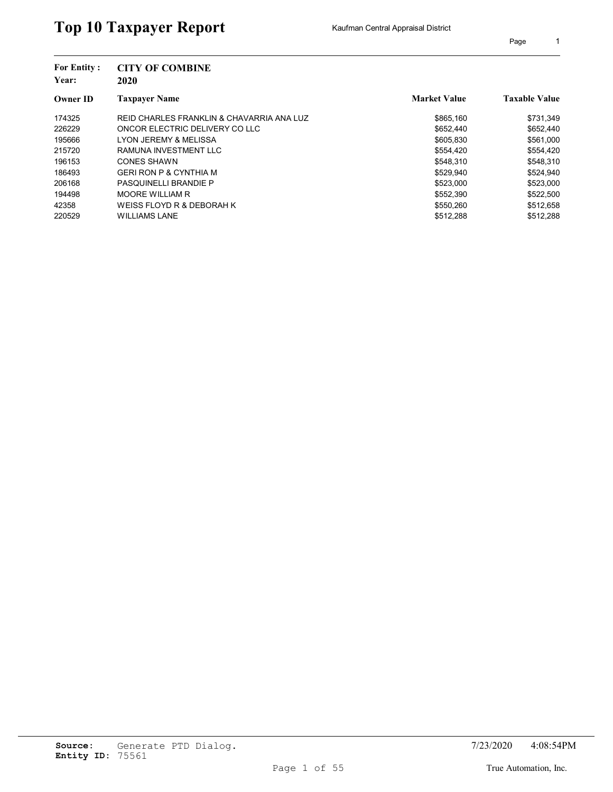| <b>For Entity:</b><br>Year: | <b>CITY OF COMBINE</b><br>2020            |                     |                      |
|-----------------------------|-------------------------------------------|---------------------|----------------------|
| <b>Owner ID</b>             | <b>Taxpayer Name</b>                      | <b>Market Value</b> | <b>Taxable Value</b> |
| 174325                      | REID CHARLES FRANKLIN & CHAVARRIA ANA LUZ | \$865.160           | \$731,349            |
| 226229                      | ONCOR ELECTRIC DELIVERY CO LLC            | \$652,440           | \$652,440            |
| 195666                      | <b>LYON JEREMY &amp; MELISSA</b>          | \$605,830           | \$561,000            |
| 215720                      | RAMUNA INVESTMENT LLC                     | \$554.420           | \$554,420            |
| 196153                      | CONES SHAWN                               | \$548,310           | \$548,310            |
| 186493                      | <b>GERI RON P &amp; CYNTHIA M</b>         | \$529.940           | \$524.940            |
| 206168                      | PASQUINELLI BRANDIE P                     | \$523,000           | \$523,000            |
| 194498                      | <b>MOORE WILLIAM R</b>                    | \$552,390           | \$522,500            |
| 42358                       | WEISS FLOYD R & DEBORAH K                 | \$550,260           | \$512,658            |
| 220529                      | <b>WILLIAMS LANE</b>                      | \$512,288           | \$512.288            |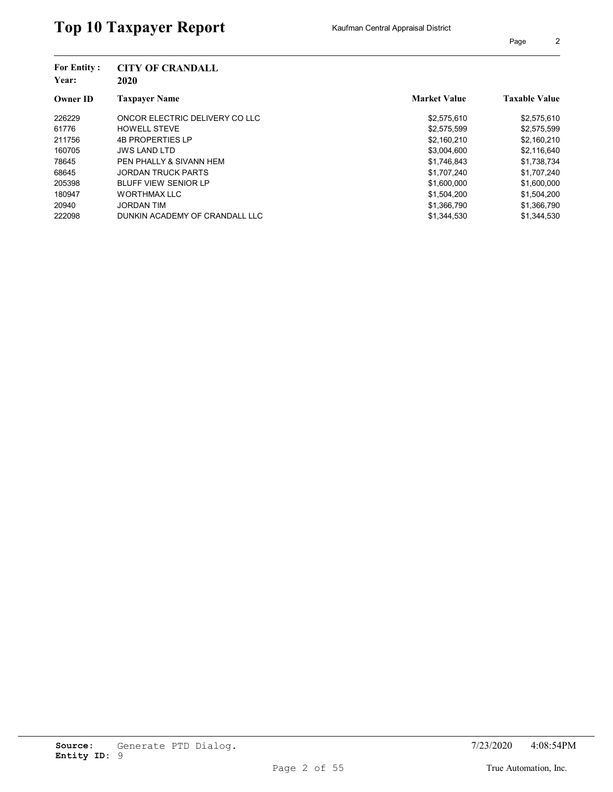| <b>For Entity:</b><br>Year: | <b>CITY OF CRANDALL</b><br>2020 |                     |                      |
|-----------------------------|---------------------------------|---------------------|----------------------|
| <b>Owner ID</b>             | <b>Taxpayer Name</b>            | <b>Market Value</b> | <b>Taxable Value</b> |
| 226229                      | ONCOR ELECTRIC DELIVERY CO LLC  | \$2,575,610         | \$2,575,610          |
| 61776                       | <b>HOWELL STEVE</b>             | \$2,575,599         | \$2,575,599          |
| 211756                      | <b>4B PROPERTIES LP</b>         | \$2,160,210         | \$2,160,210          |
| 160705                      | <b>JWS LAND LTD</b>             | \$3,004,600         | \$2,116,640          |
| 78645                       | PEN PHALLY & SIVANN HEM         | \$1,746,843         | \$1,738,734          |
| 68645                       | <b>JORDAN TRUCK PARTS</b>       | \$1.707.240         | \$1,707,240          |
| 205398                      | <b>BLUFF VIEW SENIOR LP</b>     | \$1,600,000         | \$1,600,000          |
| 180947                      | <b>WORTHMAX LLC</b>             | \$1,504,200         | \$1,504,200          |
| 20940                       | <b>JORDAN TIM</b>               | \$1,366,790         | \$1,366,790          |
| 222098                      | DUNKIN ACADEMY OF CRANDALL LLC  | \$1.344.530         | \$1.344.530          |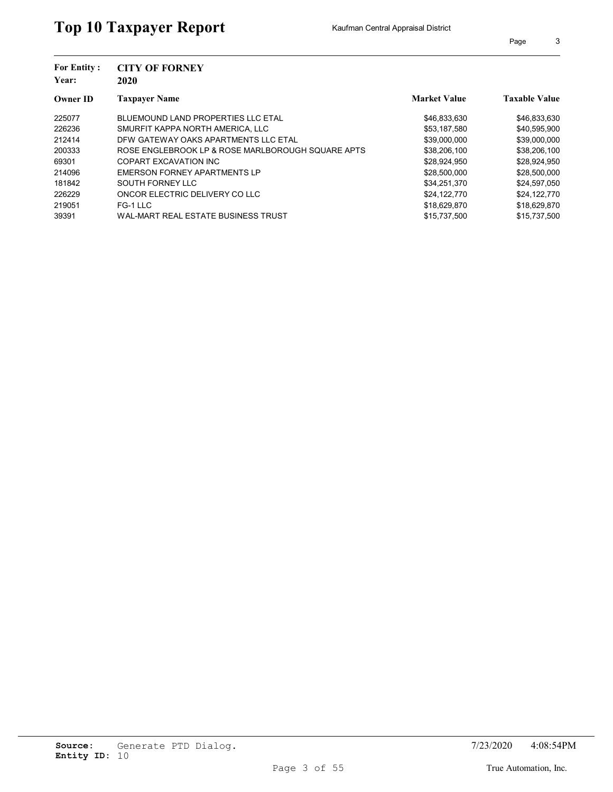| <b>For Entity:</b><br>Year: | <b>CITY OF FORNEY</b><br>2020                     |                     |                      |  |
|-----------------------------|---------------------------------------------------|---------------------|----------------------|--|
| <b>Owner ID</b>             | <b>Taxpayer Name</b>                              | <b>Market Value</b> | <b>Taxable Value</b> |  |
| 225077                      | BLUEMOUND LAND PROPERTIES LLC ETAL                | \$46,833,630        | \$46,833,630         |  |
| 226236                      | SMURFIT KAPPA NORTH AMERICA. LLC                  | \$53,187,580        | \$40,595,900         |  |
| 212414                      | DFW GATEWAY OAKS APARTMENTS LLC ETAL              | \$39,000,000        | \$39,000,000         |  |
| 200333                      | ROSE ENGLEBROOK LP & ROSE MARLBOROUGH SOUARE APTS | \$38,206,100        | \$38,206,100         |  |
| 69301                       | COPART EXCAVATION INC                             | \$28,924,950        | \$28,924,950         |  |
| 214096                      | EMERSON FORNEY APARTMENTS LP                      | \$28,500,000        | \$28,500,000         |  |
| 181842                      | SOUTH FORNEY LLC                                  | \$34,251,370        | \$24,597,050         |  |
| 226229                      | ONCOR ELECTRIC DELIVERY CO LLC                    | \$24.122.770        | \$24,122,770         |  |
| 219051                      | FG-1 LLC                                          | \$18,629,870        | \$18,629,870         |  |
| 39391                       | WAL-MART REAL ESTATE BUSINESS TRUST               | \$15.737.500        | \$15,737,500         |  |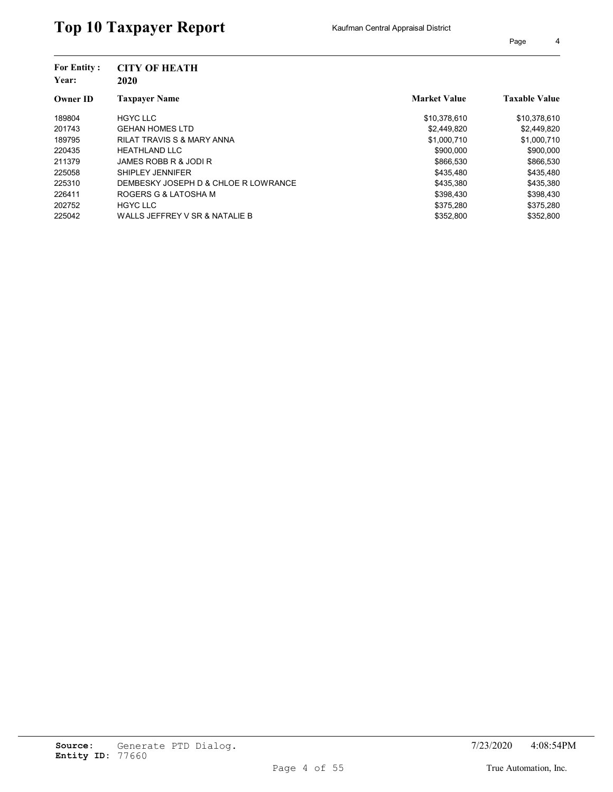| <b>For Entity:</b><br>Year: | <b>CITY OF HEATH</b><br>2020          |                     |                      |
|-----------------------------|---------------------------------------|---------------------|----------------------|
| <b>Owner ID</b>             | <b>Taxpayer Name</b>                  | <b>Market Value</b> | <b>Taxable Value</b> |
| 189804                      | <b>HGYC LLC</b>                       | \$10,378,610        | \$10,378,610         |
| 201743                      | <b>GEHAN HOMES LTD</b>                | \$2,449,820         | \$2,449,820          |
| 189795                      | <b>RILAT TRAVIS S &amp; MARY ANNA</b> | \$1,000,710         | \$1,000,710          |
| 220435                      | <b>HEATHLAND LLC</b>                  | \$900,000           | \$900,000            |
| 211379                      | JAMES ROBB R & JODI R                 | \$866,530           | \$866,530            |
| 225058                      | SHIPLEY JENNIFER                      | \$435.480           | \$435,480            |
| 225310                      | DEMBESKY JOSEPH D & CHLOE R LOWRANCE  | \$435,380           | \$435,380            |
| 226411                      | ROGERS G & LATOSHA M                  | \$398.430           | \$398,430            |
| 202752                      | <b>HGYC LLC</b>                       | \$375,280           | \$375,280            |
| 225042                      | WALLS JEFFREY V SR & NATALIE B        | \$352,800           | \$352.800            |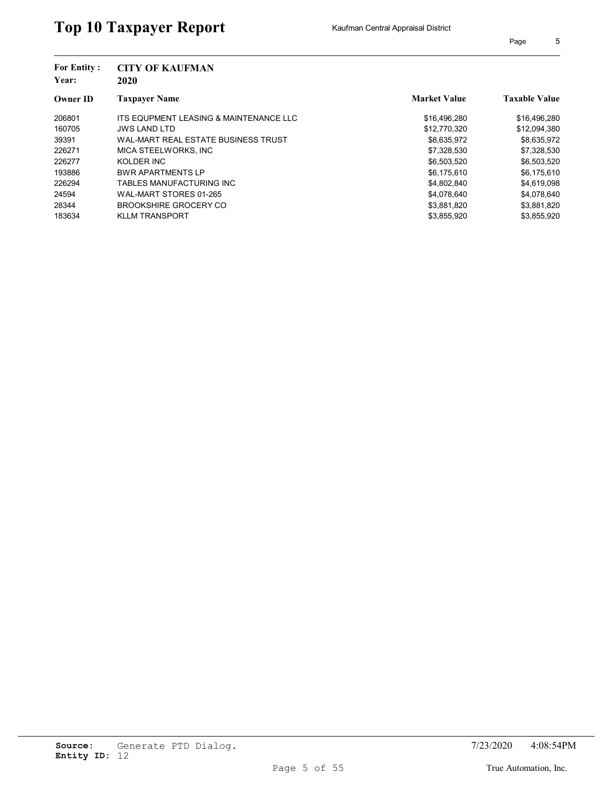| <b>For Entity:</b><br>Year: | <b>CITY OF KAUFMAN</b><br>2020         |                     |                      |  |  |
|-----------------------------|----------------------------------------|---------------------|----------------------|--|--|
| <b>Owner ID</b>             | <b>Taxpayer Name</b>                   | <b>Market Value</b> | <b>Taxable Value</b> |  |  |
| 206801                      | ITS EQUPMENT LEASING & MAINTENANCE LLC | \$16,496,280        | \$16,496,280         |  |  |
| 160705                      | <b>JWS LAND LTD</b>                    | \$12,770,320        | \$12,094,380         |  |  |
| 39391                       | WAL-MART REAL ESTATE BUSINESS TRUST    | \$8,635,972         | \$8,635,972          |  |  |
| 226271                      | MICA STEELWORKS, INC                   | \$7,328,530         | \$7,328,530          |  |  |
| 226277                      | KOLDER INC                             | \$6,503,520         | \$6,503,520          |  |  |
| 193886                      | <b>BWR APARTMENTS LP</b>               | \$6,175,610         | \$6,175,610          |  |  |
| 226294                      | TABLES MANUFACTURING INC               | \$4,802,840         | \$4,619,098          |  |  |
| 24594                       | WAL-MART STORES 01-265                 | \$4,078,640         | \$4,078,640          |  |  |
| 28344                       | BROOKSHIRE GROCERY CO                  | \$3,881,820         | \$3,881,820          |  |  |
| 183634                      | <b>KLLM TRANSPORT</b>                  | \$3.855.920         | \$3.855.920          |  |  |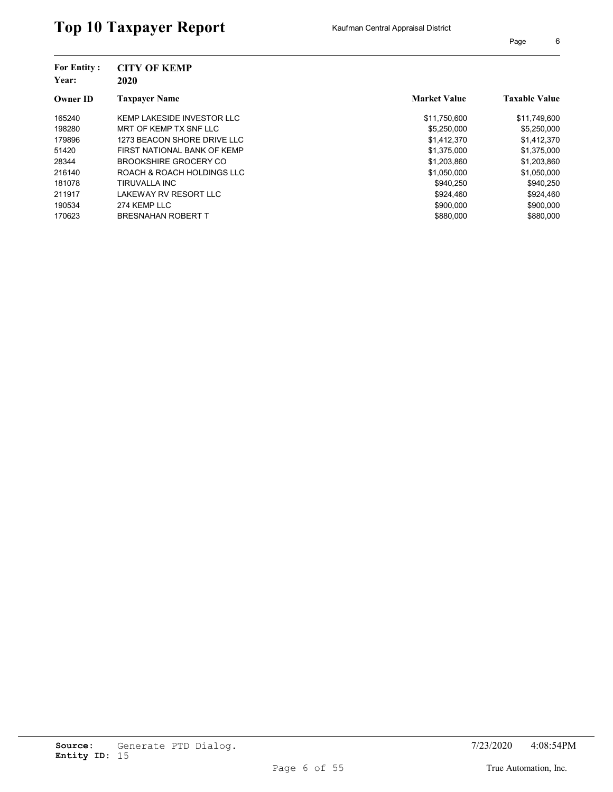| <b>For Entity:</b><br>Year: | <b>CITY OF KEMP</b><br>2020 |                     |                      |
|-----------------------------|-----------------------------|---------------------|----------------------|
| <b>Owner ID</b>             | <b>Taxpayer Name</b>        | <b>Market Value</b> | <b>Taxable Value</b> |
| 165240                      | KEMP LAKESIDE INVESTOR LLC  | \$11,750,600        | \$11,749,600         |
| 198280                      | MRT OF KEMP TX SNF LLC      | \$5,250,000         | \$5,250,000          |
| 179896                      | 1273 BEACON SHORE DRIVE LLC | \$1,412,370         | \$1,412,370          |
| 51420                       | FIRST NATIONAL BANK OF KEMP | \$1,375,000         | \$1,375,000          |
| 28344                       | BROOKSHIRE GROCERY CO       | \$1,203,860         | \$1,203,860          |
| 216140                      | ROACH & ROACH HOLDINGS LLC  | \$1.050.000         | \$1,050,000          |
| 181078                      | TIRUVALLA INC               | \$940.250           | \$940,250            |
| 211917                      | LAKEWAY RV RESORT LLC       | \$924,460           | \$924,460            |
| 190534                      | 274 KEMP LLC                | \$900,000           | \$900,000            |
| 170623                      | <b>BRESNAHAN ROBERT T</b>   | \$880,000           | \$880,000            |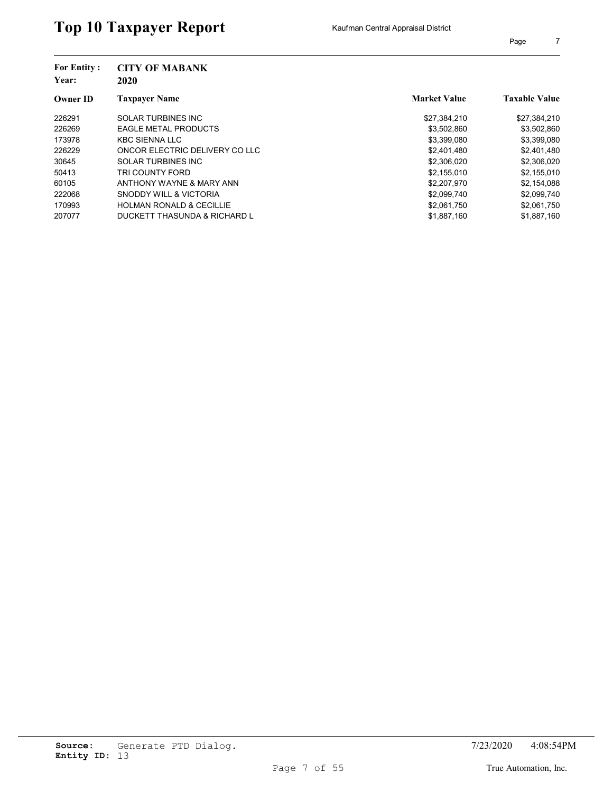| <b>For Entity:</b><br>Year: | <b>CITY OF MABANK</b><br>2020       |                     |                      |
|-----------------------------|-------------------------------------|---------------------|----------------------|
| <b>Owner ID</b>             | <b>Taxpayer Name</b>                | <b>Market Value</b> | <b>Taxable Value</b> |
| 226291                      | <b>SOLAR TURBINES INC</b>           | \$27,384,210        | \$27,384,210         |
| 226269                      | <b>EAGLE METAL PRODUCTS</b>         | \$3,502,860         | \$3,502,860          |
| 173978                      | <b>KBC SIENNA LLC</b>               | \$3,399,080         | \$3,399,080          |
| 226229                      | ONCOR ELECTRIC DELIVERY CO LLC      | \$2.401.480         | \$2,401,480          |
| 30645                       | SOLAR TURBINES INC                  | \$2,306,020         | \$2,306,020          |
| 50413                       | TRI COUNTY FORD                     | \$2,155,010         | \$2,155,010          |
| 60105                       | ANTHONY WAYNE & MARY ANN            | \$2,207,970         | \$2,154,088          |
| 222068                      | SNODDY WILL & VICTORIA              | \$2,099,740         | \$2,099,740          |
| 170993                      | <b>HOLMAN RONALD &amp; CECILLIE</b> | \$2,061,750         | \$2,061,750          |
| 207077                      | DUCKETT THASUNDA & RICHARD L        | \$1,887,160         | \$1,887,160          |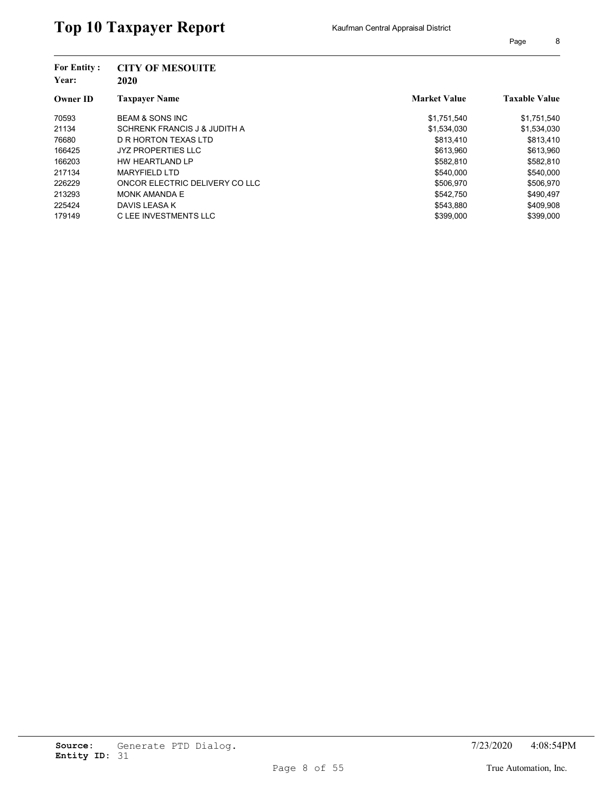| <b>For Entity:</b> | <b>CITY OF MESOUITE</b>        |                     |                      |
|--------------------|--------------------------------|---------------------|----------------------|
| Year:              | 2020                           |                     |                      |
| <b>Owner ID</b>    | Taxpayer Name                  | <b>Market Value</b> | <b>Taxable Value</b> |
| 70593              | <b>BEAM &amp; SONS INC</b>     | \$1,751,540         | \$1,751,540          |
| 21134              | SCHRENK FRANCIS J & JUDITH A   | \$1,534,030         | \$1,534,030          |
| 76680              | D R HORTON TEXAS LTD           | \$813.410           | \$813.410            |
| 166425             | <b>JYZ PROPERTIES LLC</b>      | \$613.960           | \$613.960            |
| 166203             | HW HEARTLAND LP                | \$582,810           | \$582,810            |
| 217134             | <b>MARYFIELD LTD</b>           | \$540.000           | \$540,000            |
| 226229             | ONCOR ELECTRIC DELIVERY CO LLC | \$506,970           | \$506,970            |
| 213293             | <b>MONK AMANDA E</b>           | \$542.750           | \$490.497            |
| 225424             | DAVIS LEASA K                  | \$543,880           | \$409,908            |
| 179149             | C LEE INVESTMENTS LLC          | \$399.000           | \$399,000            |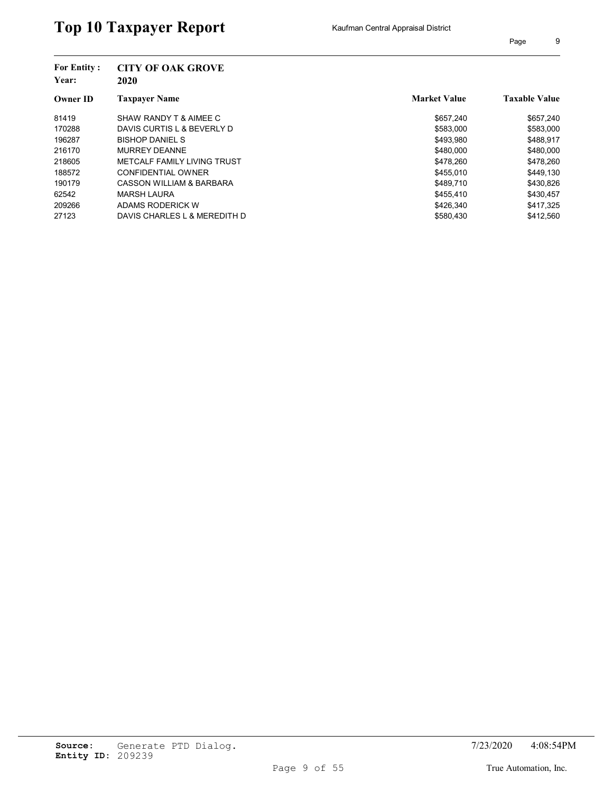| <b>For Entity:</b><br>Year: | <b>CITY OF OAK GROVE</b><br>2020 |                     |                      |
|-----------------------------|----------------------------------|---------------------|----------------------|
| <b>Owner ID</b>             | <b>Taxpayer Name</b>             | <b>Market Value</b> | <b>Taxable Value</b> |
| 81419                       | SHAW RANDY T & AIMEE C           | \$657.240           | \$657,240            |
| 170288                      | DAVIS CURTIS L & BEVERLY D       | \$583,000           | \$583,000            |
| 196287                      | <b>BISHOP DANIEL S</b>           | \$493.980           | \$488.917            |
| 216170                      | <b>MURREY DEANNE</b>             | \$480,000           | \$480,000            |
| 218605                      | METCALF FAMILY LIVING TRUST      | \$478.260           | \$478,260            |
| 188572                      | CONFIDENTIAL OWNER               | \$455.010           | \$449.130            |
| 190179                      | CASSON WILLIAM & BARBARA         | \$489.710           | \$430,826            |
| 62542                       | <b>MARSH LAURA</b>               | \$455.410           | \$430.457            |
| 209266                      | ADAMS RODERICK W                 | \$426,340           | \$417,325            |
| 27123                       | DAVIS CHARLES L & MEREDITH D     | \$580.430           | \$412.560            |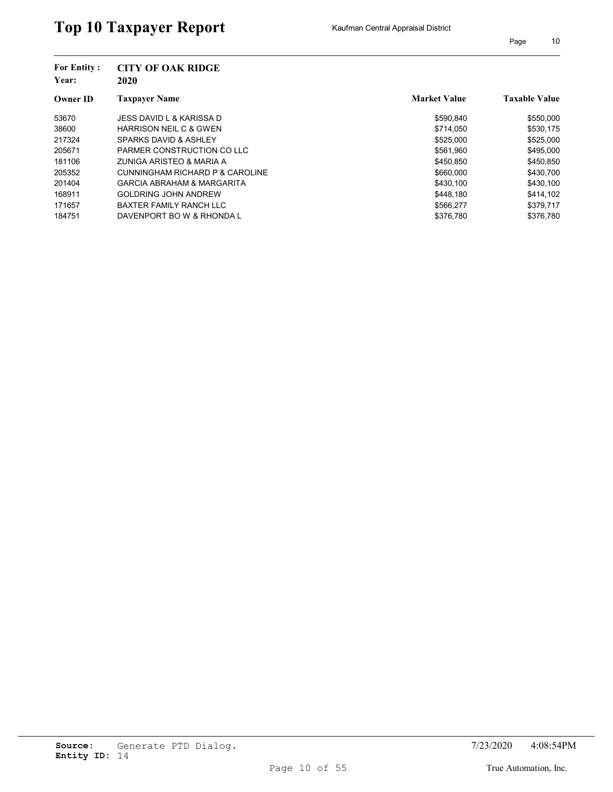| <b>For Entity:</b><br>Year: | <b>CITY OF OAK RIDGE</b><br>2020  |                     |                      |
|-----------------------------|-----------------------------------|---------------------|----------------------|
| <b>Owner ID</b>             | <b>Taxpayer Name</b>              | <b>Market Value</b> | <b>Taxable Value</b> |
| 53670                       | JESS DAVID L & KARISSA D          | \$590.840           | \$550,000            |
| 38600                       | <b>HARRISON NEIL C &amp; GWEN</b> | \$714.050           | \$530,175            |
| 217324                      | SPARKS DAVID & ASHLEY             | \$525,000           | \$525,000            |
| 205671                      | PARMER CONSTRUCTION CO LLC        | \$561.960           | \$495,000            |
| 181106                      | ZUNIGA ARISTEO & MARIA A          | \$450,850           | \$450,850            |
| 205352                      | CUNNINGHAM RICHARD P & CAROLINE   | \$660,000           | \$430,700            |
| 201404                      | GARCIA ABRAHAM & MARGARITA        | \$430.100           | \$430,100            |
| 168911                      | <b>GOLDRING JOHN ANDREW</b>       | \$448.180           | \$414.102            |
| 171657                      | <b>BAXTER FAMILY RANCH LLC</b>    | \$566,277           | \$379,717            |
| 184751                      | DAVENPORT BO W & RHONDA L         | \$376,780           | \$376.780            |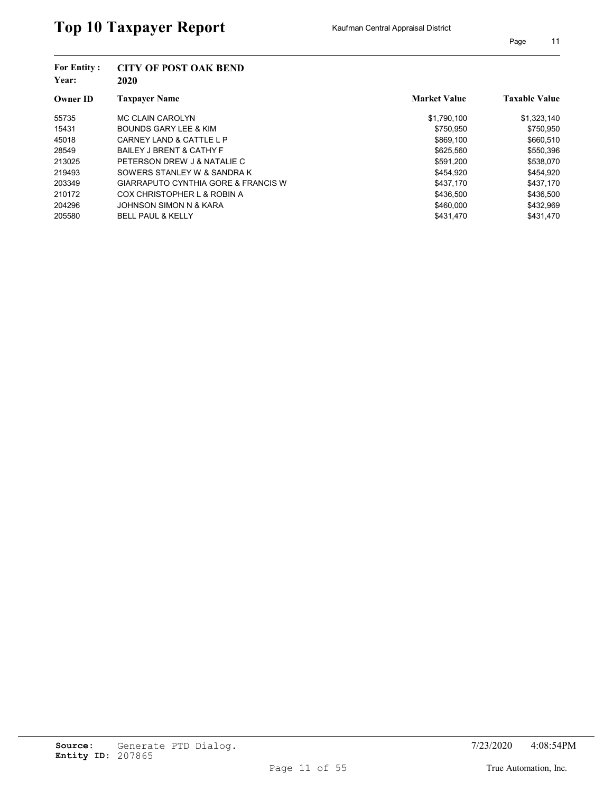| <b>For Entity:</b><br>Year: | <b>CITY OF POST OAK BEND</b><br>2020 |                     |                      |
|-----------------------------|--------------------------------------|---------------------|----------------------|
| <b>Owner ID</b>             | <b>Taxpayer Name</b>                 | <b>Market Value</b> | <b>Taxable Value</b> |
| 55735                       | MC CLAIN CAROLYN                     | \$1,790,100         | \$1,323,140          |
| 15431                       | BOUNDS GARY LEE & KIM                | \$750,950           | \$750,950            |
| 45018                       | CARNEY LAND & CATTLE L P             | \$869,100           | \$660,510            |
| 28549                       | <b>BAILEY J BRENT &amp; CATHY F</b>  | \$625,560           | \$550,396            |
| 213025                      | PETERSON DREW J & NATALIE C          | \$591,200           | \$538,070            |
| 219493                      | SOWERS STANLEY W & SANDRA K          | \$454.920           | \$454.920            |
| 203349                      | GIARRAPUTO CYNTHIA GORE & FRANCIS W  | \$437.170           | \$437.170            |
| 210172                      | COX CHRISTOPHER L & ROBIN A          | \$436,500           | \$436,500            |
| 204296                      | JOHNSON SIMON N & KARA               | \$460,000           | \$432,969            |
| 205580                      | <b>BELL PAUL &amp; KELLY</b>         | \$431.470           | \$431.470            |
|                             |                                      |                     |                      |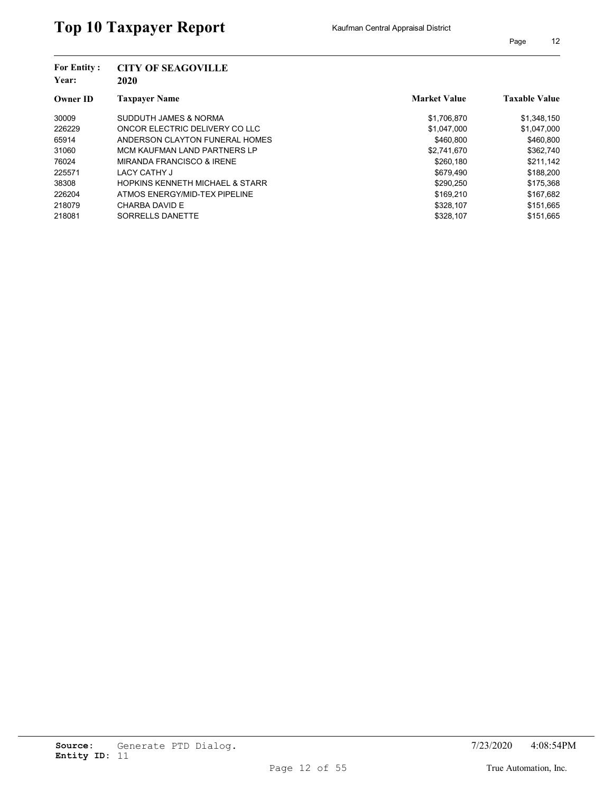| <b>For Entity:</b><br>Year: | <b>CITY OF SEAGOVILLE</b><br>2020          |                     |                      |
|-----------------------------|--------------------------------------------|---------------------|----------------------|
| <b>Owner ID</b>             | <b>Taxpayer Name</b>                       | <b>Market Value</b> | <b>Taxable Value</b> |
| 30009                       | SUDDUTH JAMES & NORMA                      | \$1,706,870         | \$1,348,150          |
| 226229                      | ONCOR ELECTRIC DELIVERY CO LLC             | \$1,047,000         | \$1,047,000          |
| 65914                       | ANDERSON CLAYTON FUNERAL HOMES             | \$460.800           | \$460.800            |
| 31060                       | MCM KAUFMAN LAND PARTNERS LP               | \$2,741,670         | \$362.740            |
| 76024                       | MIRANDA FRANCISCO & IRENE                  | \$260,180           | \$211,142            |
| 225571                      | LACY CATHY J                               | \$679.490           | \$188,200            |
| 38308                       | <b>HOPKINS KENNETH MICHAEL &amp; STARR</b> | \$290,250           | \$175,368            |
| 226204                      | ATMOS ENERGY/MID-TEX PIPELINE              | \$169.210           | \$167,682            |
| 218079                      | CHARBA DAVID E                             | \$328.107           | \$151,665            |
| 218081                      | SORRELLS DANETTE                           | \$328,107           | \$151.665            |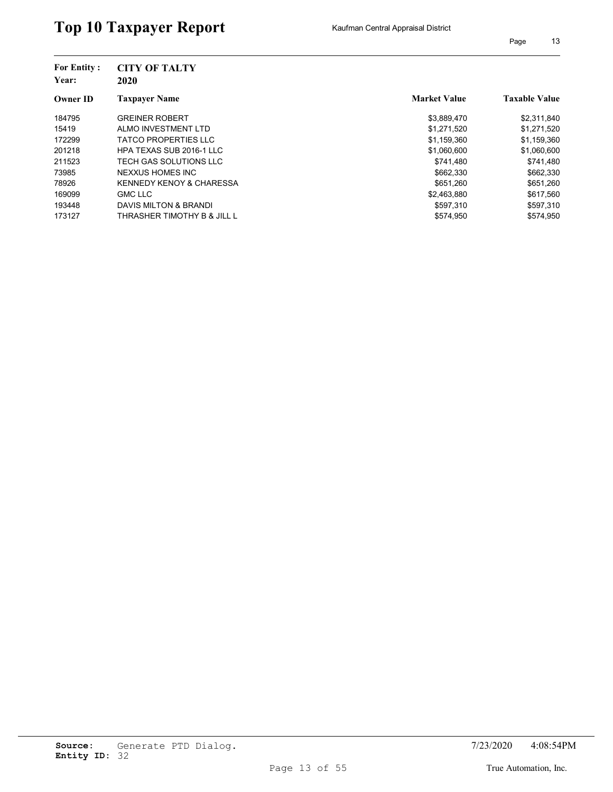| <b>For Entity:</b><br>Year:<br><b>Owner ID</b> | <b>CITY OF TALTY</b><br>2020        |                     |                      |
|------------------------------------------------|-------------------------------------|---------------------|----------------------|
|                                                | <b>Taxpayer Name</b>                | <b>Market Value</b> | <b>Taxable Value</b> |
| 184795                                         | <b>GREINER ROBERT</b>               | \$3,889,470         | \$2,311,840          |
| 15419                                          | ALMO INVESTMENT LTD                 | \$1,271,520         | \$1,271,520          |
| 172299                                         | <b>TATCO PROPERTIES LLC</b>         | \$1,159,360         | \$1,159,360          |
| 201218                                         | HPA TEXAS SUB 2016-1 LLC            | \$1,060,600         | \$1,060,600          |
| 211523                                         | TECH GAS SOLUTIONS LLC              | \$741.480           | \$741,480            |
| 73985                                          | NEXXUS HOMES INC                    | \$662,330           | \$662,330            |
| 78926                                          | <b>KENNEDY KENOY &amp; CHARESSA</b> | \$651.260           | \$651,260            |
| 169099                                         | <b>GMC LLC</b>                      | \$2,463,880         | \$617,560            |
| 193448                                         | DAVIS MILTON & BRANDI               | \$597,310           | \$597,310            |
| 173127                                         | THRASHER TIMOTHY B & JILL L         | \$574.950           | \$574.950            |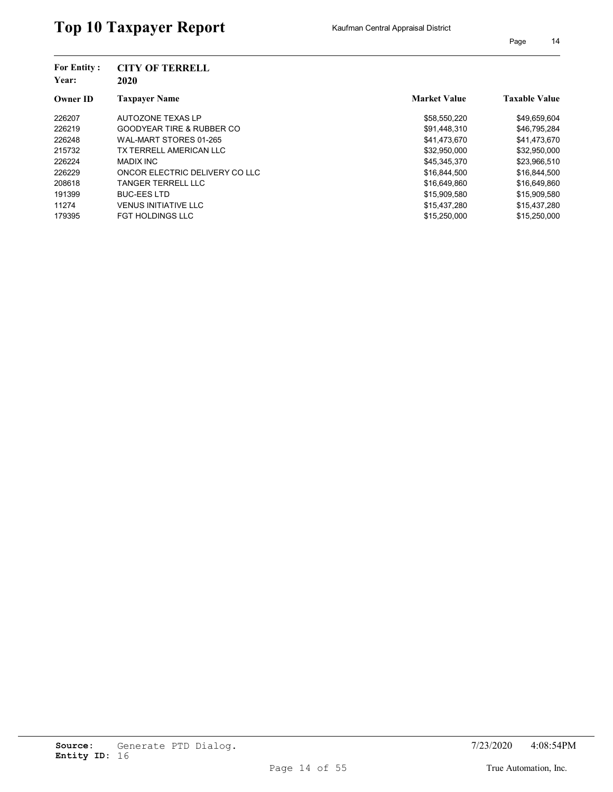| <b>For Entity:</b><br>Year:<br><b>Owner ID</b> | <b>CITY OF TERRELL</b><br>2020 |                     |                      |
|------------------------------------------------|--------------------------------|---------------------|----------------------|
|                                                | <b>Taxpaver Name</b>           | <b>Market Value</b> | <b>Taxable Value</b> |
| 226207                                         | AUTOZONE TEXAS LP              | \$58,550,220        | \$49,659,604         |
| 226219                                         | GOODYEAR TIRE & RUBBER CO      | \$91,448,310        | \$46,795,284         |
| 226248                                         | WAL-MART STORES 01-265         | \$41,473,670        | \$41,473,670         |
| 215732                                         | TX TERRELL AMERICAN LLC        | \$32.950.000        | \$32,950,000         |
| 226224                                         | <b>MADIX INC</b>               | \$45,345,370        | \$23,966,510         |
| 226229                                         | ONCOR ELECTRIC DELIVERY CO LLC | \$16.844.500        | \$16,844,500         |
| 208618                                         | TANGER TERRELL LLC             | \$16,649,860        | \$16,649,860         |
| 191399                                         | <b>BUC-EES LTD</b>             | \$15.909.580        | \$15,909.580         |
| 11274                                          | <b>VENUS INITIATIVE LLC</b>    | \$15,437,280        | \$15,437,280         |
| 179395                                         | <b>FGT HOLDINGS LLC</b>        | \$15.250.000        | \$15,250,000         |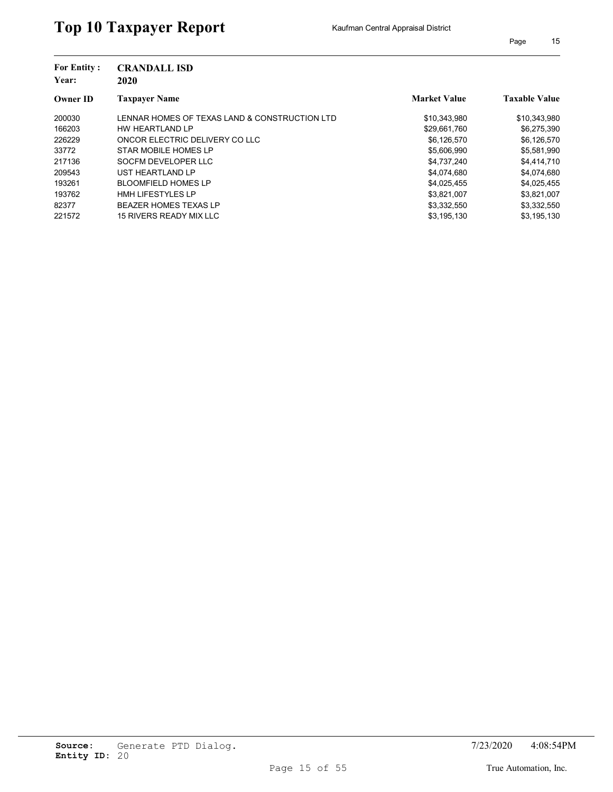| <b>For Entity:</b><br>Year: | <b>CRANDALL ISD</b><br>2020                   |                     |                      |
|-----------------------------|-----------------------------------------------|---------------------|----------------------|
| <b>Owner ID</b>             | <b>Taxpayer Name</b>                          | <b>Market Value</b> | <b>Taxable Value</b> |
| 200030                      | LENNAR HOMES OF TEXAS LAND & CONSTRUCTION LTD | \$10,343,980        | \$10,343,980         |
| 166203                      | HW HEARTLAND LP                               | \$29,661,760        | \$6,275,390          |
| 226229                      | ONCOR ELECTRIC DELIVERY CO LLC                | \$6,126,570         | \$6,126,570          |
| 33772                       | STAR MOBILE HOMES LP                          | \$5,606,990         | \$5,581,990          |
| 217136                      | SOCFM DEVELOPER LLC                           | \$4,737,240         | \$4,414,710          |
| 209543                      | UST HEARTLAND LP                              | \$4.074.680         | \$4,074,680          |
| 193261                      | <b>BLOOMFIELD HOMES LP</b>                    | \$4,025,455         | \$4,025,455          |
| 193762                      | <b>HMH LIFESTYLES LP</b>                      | \$3,821,007         | \$3,821,007          |
| 82377                       | <b>BEAZER HOMES TEXAS LP</b>                  | \$3,332,550         | \$3,332,550          |
| 221572                      | 15 RIVERS READY MIX LLC                       | \$3,195,130         | \$3,195,130          |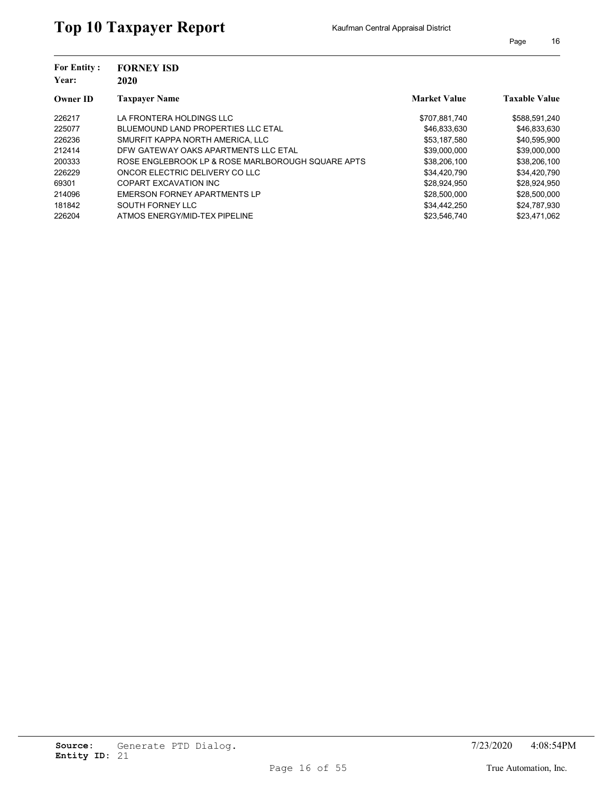| <b>For Entity:</b><br>Year: | <b>FORNEY ISD</b><br>2020                         |                     |                      |
|-----------------------------|---------------------------------------------------|---------------------|----------------------|
| <b>Owner ID</b>             | <b>Taxpayer Name</b>                              | <b>Market Value</b> | <b>Taxable Value</b> |
| 226217                      | LA FRONTERA HOLDINGS LLC                          | \$707,881,740       | \$588,591,240        |
| 225077                      | <b>BLUEMOUND LAND PROPERTIES LLC ETAL</b>         | \$46,833,630        | \$46,833,630         |
| 226236                      | SMURFIT KAPPA NORTH AMERICA. LLC                  | \$53,187,580        | \$40,595,900         |
| 212414                      | DFW GATEWAY OAKS APARTMENTS LLC ETAL              | \$39,000,000        | \$39,000,000         |
| 200333                      | ROSE ENGLEBROOK LP & ROSE MARLBOROUGH SQUARE APTS | \$38,206,100        | \$38,206,100         |
| 226229                      | ONCOR ELECTRIC DELIVERY CO LLC                    | \$34,420,790        | \$34,420,790         |
| 69301                       | COPART EXCAVATION INC                             | \$28,924,950        | \$28,924,950         |
| 214096                      | EMERSON FORNEY APARTMENTS LP                      | \$28,500,000        | \$28,500,000         |
| 181842                      | SOUTH FORNEY LLC                                  | \$34,442,250        | \$24,787,930         |
| 226204                      | ATMOS ENERGY/MID-TEX PIPELINE                     | \$23,546,740        | \$23.471.062         |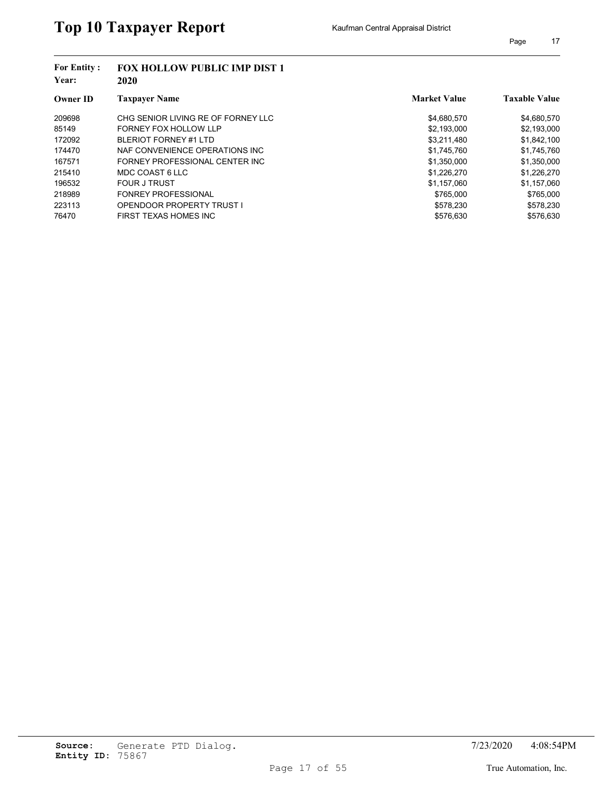| <b>For Entity:</b><br>Year: | <b>FOX HOLLOW PUBLIC IMP DIST 1</b><br>2020 |                     |                      |
|-----------------------------|---------------------------------------------|---------------------|----------------------|
| <b>Owner ID</b>             | <b>Taxpayer Name</b>                        | <b>Market Value</b> | <b>Taxable Value</b> |
| 209698                      | CHG SENIOR LIVING RE OF FORNEY LLC          | \$4,680,570         | \$4,680,570          |
| 85149                       | FORNEY FOX HOLLOW LLP                       | \$2,193,000         | \$2,193,000          |
| 172092                      | BLERIOT FORNEY #1 LTD                       | \$3,211,480         | \$1,842,100          |
| 174470                      | NAF CONVENIENCE OPERATIONS INC.             | \$1.745.760         | \$1,745,760          |
| 167571                      | FORNEY PROFESSIONAL CENTER INC              | \$1,350,000         | \$1,350,000          |
| 215410                      | MDC COAST 6 LLC                             | \$1,226,270         | \$1,226,270          |
| 196532                      | <b>FOUR J TRUST</b>                         | \$1,157,060         | \$1,157,060          |
| 218989                      | <b>FONREY PROFESSIONAL</b>                  | \$765.000           | \$765.000            |
| 223113                      | OPENDOOR PROPERTY TRUST I                   | \$578,230           | \$578,230            |
| 76470                       | FIRST TEXAS HOMES INC                       | \$576,630           | \$576,630            |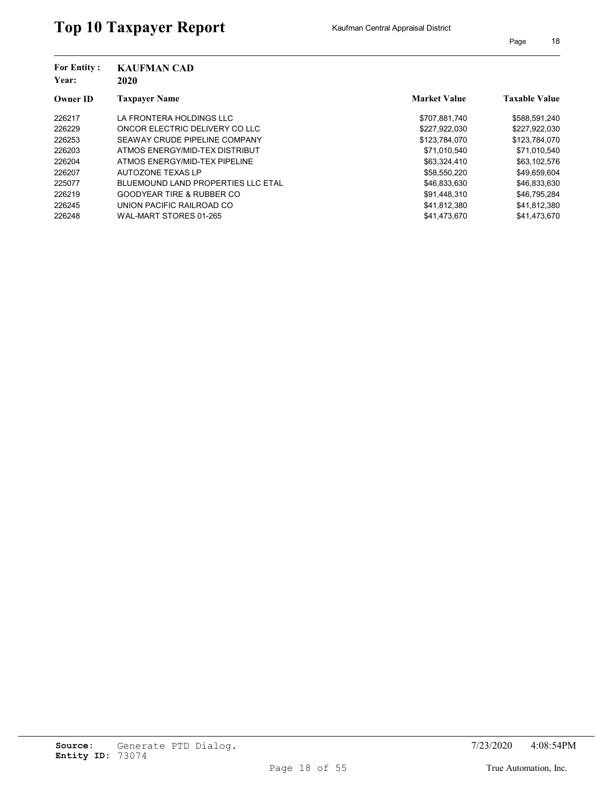| <b>For Entity:</b><br>Year: | <b>KAUFMAN CAD</b><br>2020                |                     |                      |
|-----------------------------|-------------------------------------------|---------------------|----------------------|
| <b>Owner ID</b>             | <b>Taxpayer Name</b>                      | <b>Market Value</b> | <b>Taxable Value</b> |
| 226217                      | LA FRONTERA HOLDINGS LLC                  | \$707,881,740       | \$588,591,240        |
| 226229                      | ONCOR ELECTRIC DELIVERY CO LLC            | \$227,922,030       | \$227,922,030        |
| 226253                      | SEAWAY CRUDE PIPELINE COMPANY             | \$123.784.070       | \$123,784,070        |
| 226203                      | ATMOS ENERGY/MID-TEX DISTRIBUT            | \$71.010.540        | \$71.010.540         |
| 226204                      | ATMOS ENERGY/MID-TEX PIPELINE             | \$63,324,410        | \$63,102,576         |
| 226207                      | AUTOZONE TEXAS LP                         | \$58.550.220        | \$49,659,604         |
| 225077                      | <b>BLUEMOUND LAND PROPERTIES LLC ETAL</b> | \$46,833,630        | \$46,833,630         |
| 226219                      | <b>GOODYEAR TIRE &amp; RUBBER CO</b>      | \$91.448.310        | \$46.795.284         |
| 226245                      | UNION PACIFIC RAILROAD CO                 | \$41,812,380        | \$41,812,380         |
| 226248                      | WAL-MART STORES 01-265                    | \$41.473.670        | \$41.473.670         |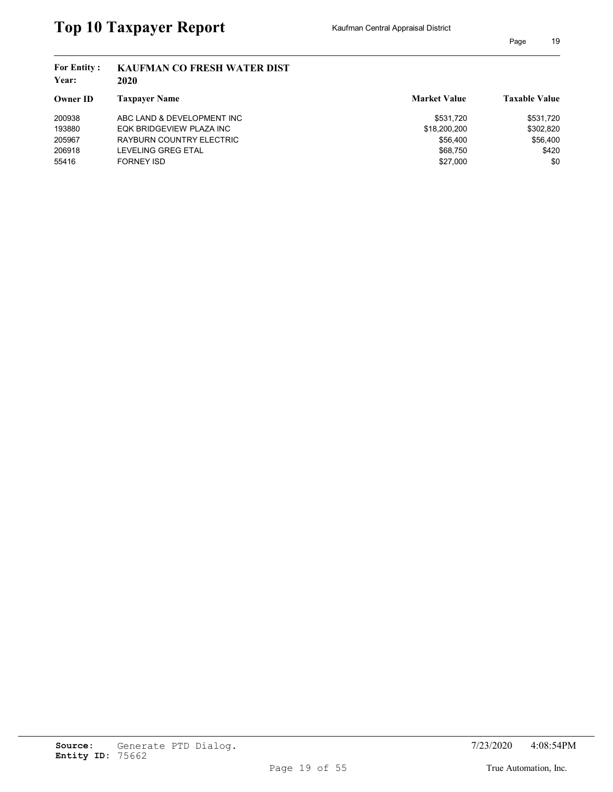| <b>For Entity:</b><br>Year: | <b>KAUFMAN CO FRESH WATER DIST</b><br>2020 |                     |                      |
|-----------------------------|--------------------------------------------|---------------------|----------------------|
| Owner ID                    | <b>Taxpaver Name</b>                       | <b>Market Value</b> | <b>Taxable Value</b> |
| 200938                      | ABC LAND & DEVELOPMENT INC                 | \$531.720           | \$531,720            |
| 193880                      | EQK BRIDGEVIEW PLAZA INC                   | \$18,200,200        | \$302,820            |
| 205967                      | RAYBURN COUNTRY ELECTRIC                   | \$56,400            | \$56,400             |
| 206918                      | LEVELING GREG ETAL                         | \$68.750            | \$420                |
| 55416                       | FORNEY ISD                                 | \$27,000            | \$0                  |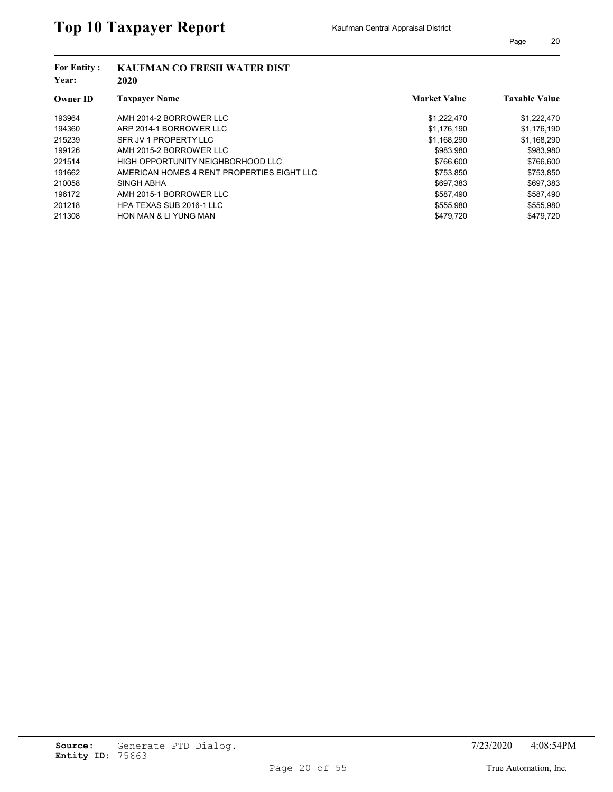| <b>For Entity:</b><br>Year: | <b>KAUFMAN CO FRESH WATER DIST</b><br>2020 |                     |                      |
|-----------------------------|--------------------------------------------|---------------------|----------------------|
| <b>Owner ID</b>             | <b>Taxpayer Name</b>                       | <b>Market Value</b> | <b>Taxable Value</b> |
| 193964                      | AMH 2014-2 BORROWER LLC                    | \$1,222,470         | \$1,222,470          |
| 194360                      | ARP 2014-1 BORROWER LLC                    | \$1,176,190         | \$1,176,190          |
| 215239                      | SFR JV 1 PROPERTY LLC                      | \$1,168,290         | \$1,168,290          |
| 199126                      | AMH 2015-2 BORROWER LLC                    | \$983.980           | \$983,980            |
| 221514                      | HIGH OPPORTUNITY NEIGHBORHOOD LLC          | \$766,600           | \$766,600            |
| 191662                      | AMERICAN HOMES 4 RENT PROPERTIES EIGHT LLC | \$753,850           | \$753,850            |
| 210058                      | SINGH ABHA                                 | \$697.383           | \$697.383            |
| 196172                      | AMH 2015-1 BORROWER LLC                    | \$587,490           | \$587,490            |
| 201218                      | HPA TEXAS SUB 2016-1 LLC                   | \$555,980           | \$555,980            |
| 211308                      | <b>HON MAN &amp; LI YUNG MAN</b>           | \$479.720           | \$479.720            |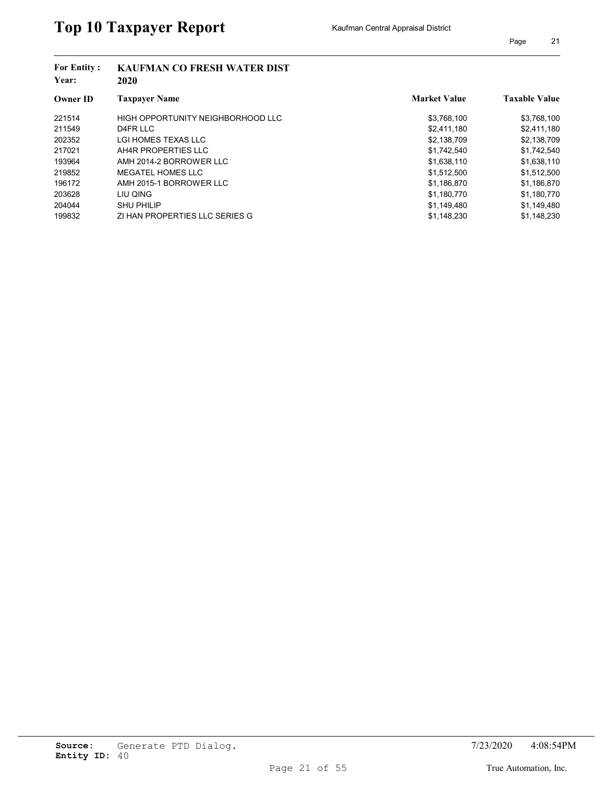| <b>For Entity:</b><br>Year: | <b>KAUFMAN CO FRESH WATER DIST</b><br>2020 |                     |                      |
|-----------------------------|--------------------------------------------|---------------------|----------------------|
| <b>Owner ID</b>             | <b>Taxpayer Name</b>                       | <b>Market Value</b> | <b>Taxable Value</b> |
| 221514                      | HIGH OPPORTUNITY NEIGHBORHOOD LLC          | \$3,768,100         | \$3,768,100          |
| 211549                      | D4FR LLC                                   | \$2,411,180         | \$2,411,180          |
| 202352                      | LGI HOMES TEXAS LLC                        | \$2,138,709         | \$2,138,709          |
| 217021                      | AH4R PROPERTIES LLC                        | \$1,742,540         | \$1,742,540          |
| 193964                      | AMH 2014-2 BORROWER LLC                    | \$1,638,110         | \$1,638,110          |
| 219852                      | MEGATEL HOMES LLC                          | \$1,512,500         | \$1,512,500          |
| 196172                      | AMH 2015-1 BORROWER LLC                    | \$1,186,870         | \$1,186,870          |
| 203628                      | LIU QING                                   | \$1,180,770         | \$1,180,770          |
| 204044                      | <b>SHU PHILIP</b>                          | \$1,149,480         | \$1,149,480          |
| 199832                      | ZI HAN PROPERTIES LLC SERIES G             | \$1.148.230         | \$1.148.230          |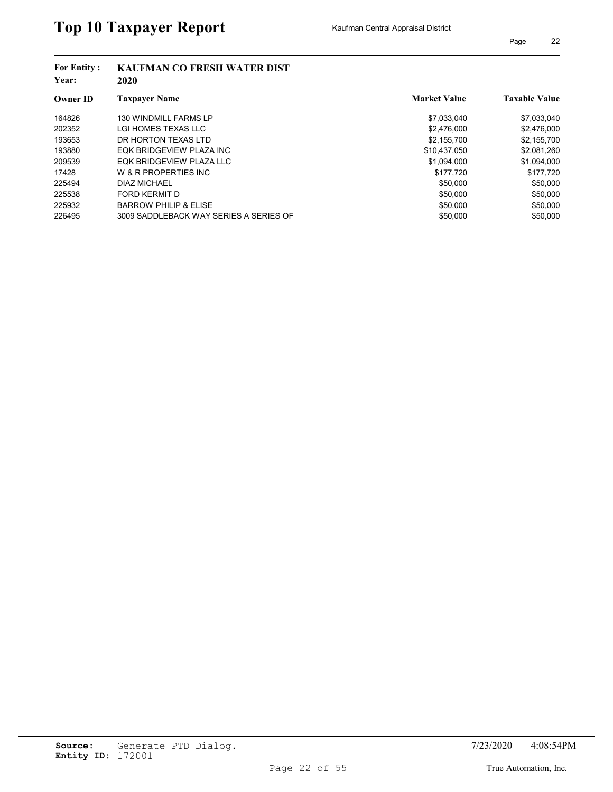| <b>For Entity:</b><br>Year: | <b>KAUFMAN CO FRESH WATER DIST</b><br>2020 |                     |                      |
|-----------------------------|--------------------------------------------|---------------------|----------------------|
| <b>Owner ID</b>             | <b>Taxpayer Name</b>                       | <b>Market Value</b> | <b>Taxable Value</b> |
| 164826                      | <b>130 WINDMILL FARMS LP</b>               | \$7,033,040         | \$7,033,040          |
| 202352                      | LGI HOMES TEXAS LLC                        | \$2,476,000         | \$2,476,000          |
| 193653                      | DR HORTON TEXAS LTD                        | \$2,155,700         | \$2,155,700          |
| 193880                      | EQK BRIDGEVIEW PLAZA INC                   | \$10,437,050        | \$2,081,260          |
| 209539                      | EQK BRIDGEVIEW PLAZA LLC                   | \$1,094,000         | \$1,094,000          |
| 17428                       | W & R PROPERTIES INC                       | \$177.720           | \$177,720            |
| 225494                      | <b>DIAZ MICHAEL</b>                        | \$50,000            | \$50,000             |
| 225538                      | FORD KERMIT D                              | \$50,000            | \$50,000             |
| 225932                      | <b>BARROW PHILIP &amp; ELISE</b>           | \$50,000            | \$50,000             |
| 226495                      | 3009 SADDLEBACK WAY SERIES A SERIES OF     | \$50,000            | \$50,000             |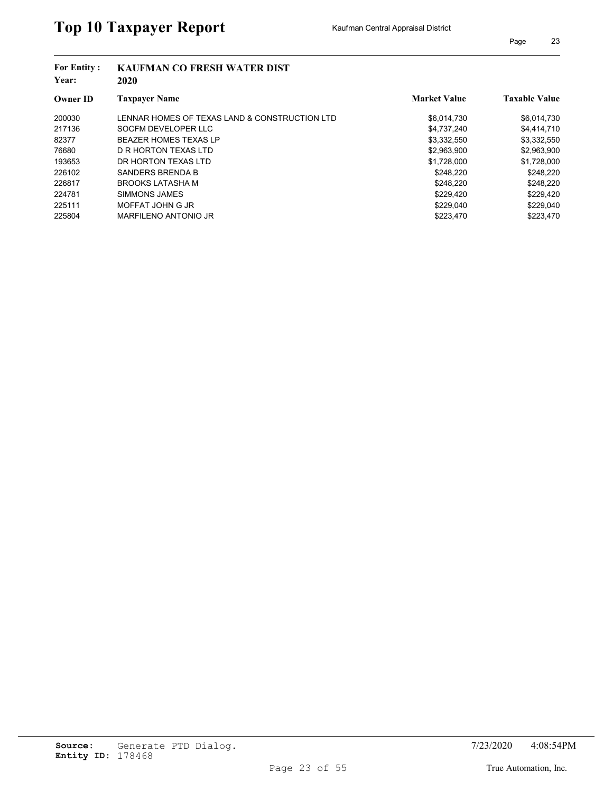| <b>For Entity:</b><br>Year: | <b>KAUFMAN CO FRESH WATER DIST</b><br>2020    |                     |                      |
|-----------------------------|-----------------------------------------------|---------------------|----------------------|
| <b>Owner ID</b>             | <b>Taxpayer Name</b>                          | <b>Market Value</b> | <b>Taxable Value</b> |
| 200030                      | LENNAR HOMES OF TEXAS LAND & CONSTRUCTION LTD | \$6,014,730         | \$6,014,730          |
| 217136                      | SOCFM DEVELOPER LLC                           | \$4,737,240         | \$4,414,710          |
| 82377                       | <b>BEAZER HOMES TEXAS LP</b>                  | \$3,332,550         | \$3,332,550          |
| 76680                       | D R HORTON TEXAS LTD                          | \$2,963,900         | \$2,963,900          |
| 193653                      | DR HORTON TEXAS LTD                           | \$1,728,000         | \$1,728,000          |
| 226102                      | SANDERS BRENDA B                              | \$248.220           | \$248.220            |
| 226817                      | <b>BROOKS LATASHA M</b>                       | \$248.220           | \$248,220            |
| 224781                      | SIMMONS JAMES                                 | \$229.420           | \$229,420            |
| 225111                      | MOFFAT JOHN G JR                              | \$229,040           | \$229,040            |
| 225804                      | MARFILENO ANTONIO JR                          | \$223.470           | \$223.470            |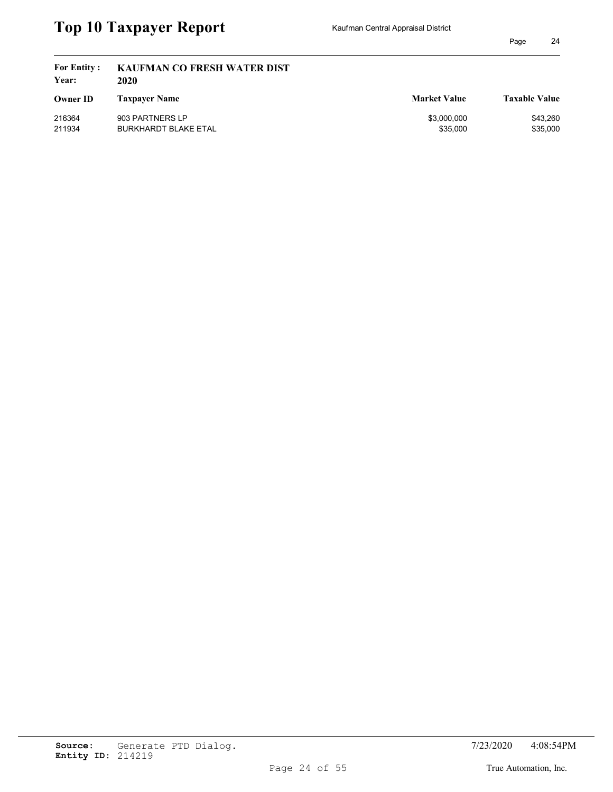| <b>For Entity:</b><br>Year: | <b>KAUFMAN CO FRESH WATER DIST</b><br>2020 |                     |                      |
|-----------------------------|--------------------------------------------|---------------------|----------------------|
| <b>Owner ID</b>             | <b>Taxpayer Name</b>                       | <b>Market Value</b> | <b>Taxable Value</b> |
| 216364                      | 903 PARTNERS LP                            | \$3,000,000         | \$43,260             |
| 211934                      | BURKHARDT BLAKE ETAL                       | \$35,000            | \$35,000             |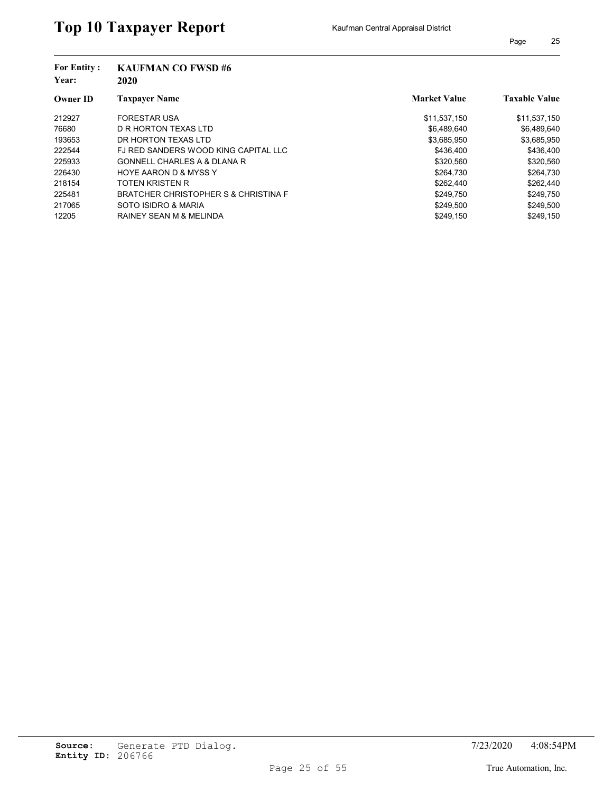| <b>For Entity:</b><br>Year: | <b>KAUFMAN CO FWSD#6</b><br>2020       |                     |                      |  |  |
|-----------------------------|----------------------------------------|---------------------|----------------------|--|--|
| <b>Owner ID</b>             | <b>Taxpayer Name</b>                   | <b>Market Value</b> | <b>Taxable Value</b> |  |  |
| 212927                      | <b>FORESTAR USA</b>                    | \$11,537,150        | \$11,537,150         |  |  |
| 76680                       | D R HORTON TEXAS LTD                   | \$6,489,640         | \$6,489,640          |  |  |
| 193653                      | DR HORTON TEXAS LTD                    | \$3,685,950         | \$3,685,950          |  |  |
| 222544                      | FJ RED SANDERS WOOD KING CAPITAL LLC   | \$436.400           | \$436,400            |  |  |
| 225933                      | <b>GONNELL CHARLES A &amp; DLANA R</b> | \$320,560           | \$320,560            |  |  |
| 226430                      | <b>HOYE AARON D &amp; MYSS Y</b>       | \$264.730           | \$264,730            |  |  |
| 218154                      | TOTEN KRISTEN R                        | \$262.440           | \$262,440            |  |  |
| 225481                      | BRATCHER CHRISTOPHER S & CHRISTINA F   | \$249,750           | \$249,750            |  |  |
| 217065                      | SOTO ISIDRO & MARIA                    | \$249,500           | \$249,500            |  |  |
| 12205                       | <b>RAINEY SEAN M &amp; MELINDA</b>     | \$249.150           | \$249.150            |  |  |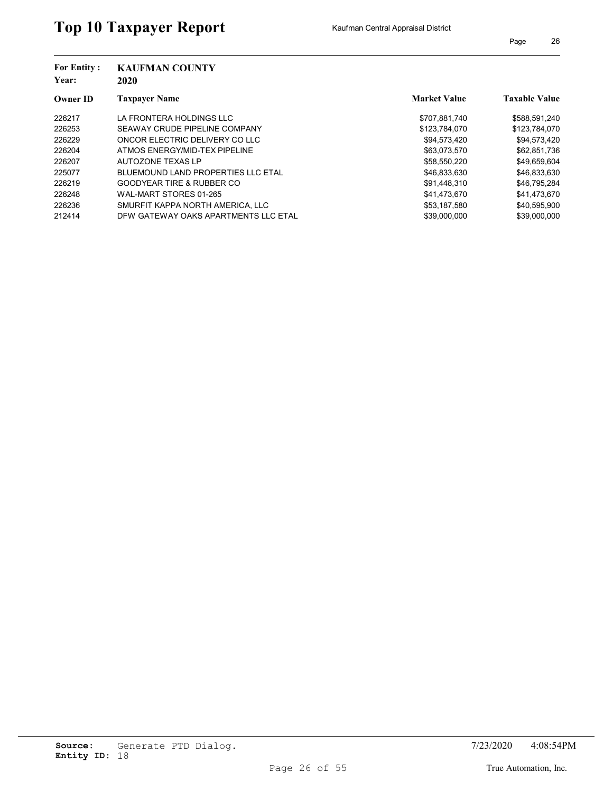| <b>For Entity:</b><br>Year: | <b>KAUFMAN COUNTY</b><br>2020        |                     |                      |
|-----------------------------|--------------------------------------|---------------------|----------------------|
| <b>Owner ID</b>             | <b>Taxpayer Name</b>                 | <b>Market Value</b> | <b>Taxable Value</b> |
| 226217                      | LA FRONTERA HOLDINGS LLC             | \$707,881,740       | \$588,591,240        |
| 226253                      | SEAWAY CRUDE PIPELINE COMPANY        | \$123,784,070       | \$123,784,070        |
| 226229                      | ONCOR ELECTRIC DELIVERY CO LLC       | \$94.573.420        | \$94,573,420         |
| 226204                      | ATMOS ENERGY/MID-TEX PIPELINE        | \$63.073.570        | \$62,851,736         |
| 226207                      | AUTOZONE TEXAS LP                    | \$58,550,220        | \$49,659,604         |
| 225077                      | BLUEMOUND LAND PROPERTIES LLC ETAL   | \$46,833,630        | \$46,833,630         |
| 226219                      | <b>GOODYEAR TIRE &amp; RUBBER CO</b> | \$91,448,310        | \$46,795,284         |
| 226248                      | WAL-MART STORES 01-265               | \$41.473.670        | \$41,473,670         |
| 226236                      | SMURFIT KAPPA NORTH AMERICA. LLC     | \$53,187,580        | \$40,595,900         |
| 212414                      | DFW GATEWAY OAKS APARTMENTS LLC ETAL | \$39,000,000        | \$39,000,000         |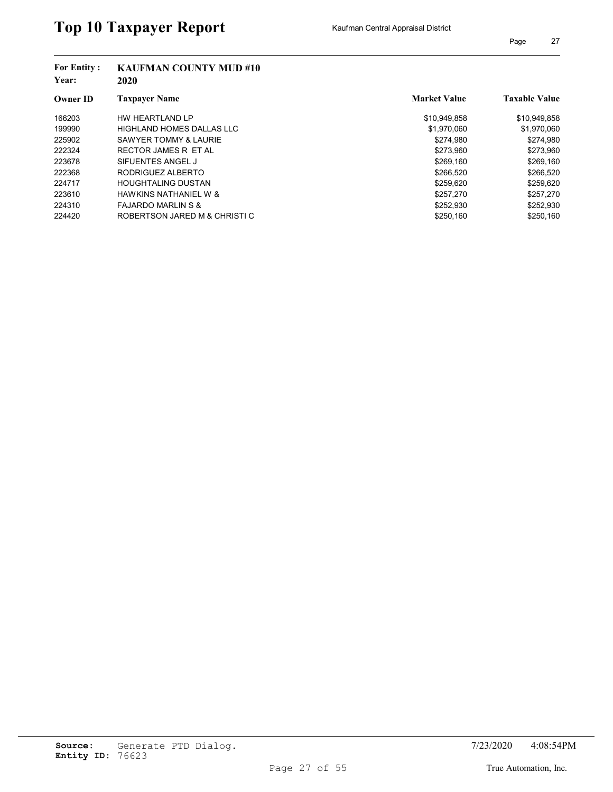| <b>For Entity:</b><br>Year: | <b>KAUFMAN COUNTY MUD #10</b><br>2020 |                     |                      |
|-----------------------------|---------------------------------------|---------------------|----------------------|
| <b>Owner ID</b>             | <b>Taxpayer Name</b>                  | <b>Market Value</b> | <b>Taxable Value</b> |
| 166203                      | HW HEARTLAND LP                       | \$10,949,858        | \$10,949,858         |
| 199990                      | HIGHLAND HOMES DALLAS LLC             | \$1,970,060         | \$1,970,060          |
| 225902                      | <b>SAWYER TOMMY &amp; LAURIE</b>      | \$274.980           | \$274.980            |
| 222324                      | RECTOR JAMES R ET AL                  | \$273.960           | \$273,960            |
| 223678                      | SIFUENTES ANGEL J                     | \$269.160           | \$269,160            |
| 222368                      | RODRIGUEZ ALBERTO                     | \$266.520           | \$266,520            |
| 224717                      | <b>HOUGHTALING DUSTAN</b>             | \$259.620           | \$259,620            |
| 223610                      | <b>HAWKINS NATHANIEL W &amp;</b>      | \$257.270           | \$257,270            |
| 224310                      | <b>FAJARDO MARLIN S &amp;</b>         | \$252,930           | \$252,930            |
| 224420                      | ROBERTSON JARED M & CHRISTI C         | \$250.160           | \$250.160            |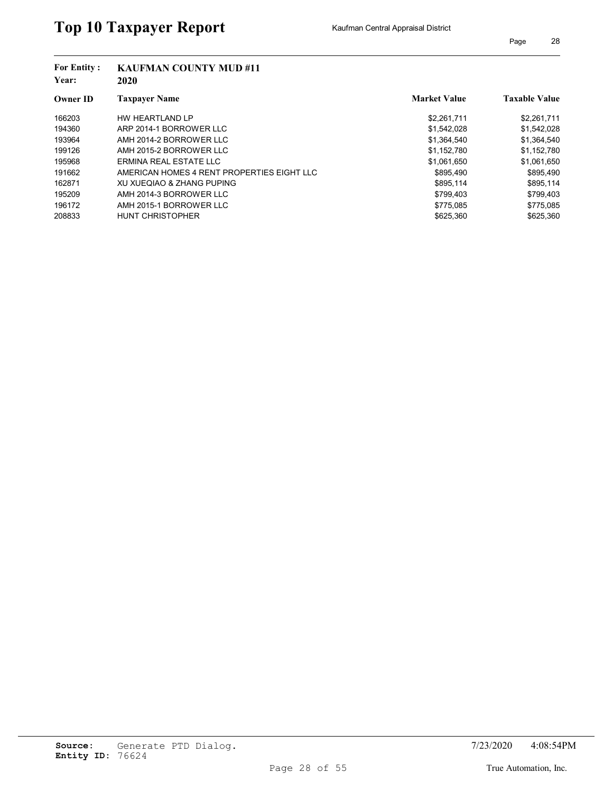| <b>For Entity:</b><br>Year: | <b>KAUFMAN COUNTY MUD #11</b><br>2020      |                     |                      |
|-----------------------------|--------------------------------------------|---------------------|----------------------|
| <b>Owner ID</b>             | <b>Taxpaver Name</b>                       | <b>Market Value</b> | <b>Taxable Value</b> |
| 166203                      | HW HEARTLAND LP                            | \$2,261,711         | \$2,261,711          |
| 194360                      | ARP 2014-1 BORROWER LLC                    | \$1,542,028         | \$1,542,028          |
| 193964                      | AMH 2014-2 BORROWER LLC                    | \$1,364,540         | \$1,364,540          |
| 199126                      | AMH 2015-2 BORROWER LLC                    | \$1.152.780         | \$1,152,780          |
| 195968                      | ERMINA REAL ESTATE LLC                     | \$1,061,650         | \$1,061,650          |
| 191662                      | AMERICAN HOMES 4 RENT PROPERTIES EIGHT LLC | \$895.490           | \$895.490            |
| 162871                      | XU XUEQIAO & ZHANG PUPING                  | \$895.114           | \$895,114            |
| 195209                      | AMH 2014-3 BORROWER LLC                    | \$799,403           | \$799,403            |
| 196172                      | AMH 2015-1 BORROWER LLC                    | \$775,085           | \$775,085            |
| 208833                      | <b>HUNT CHRISTOPHER</b>                    | \$625.360           | \$625.360            |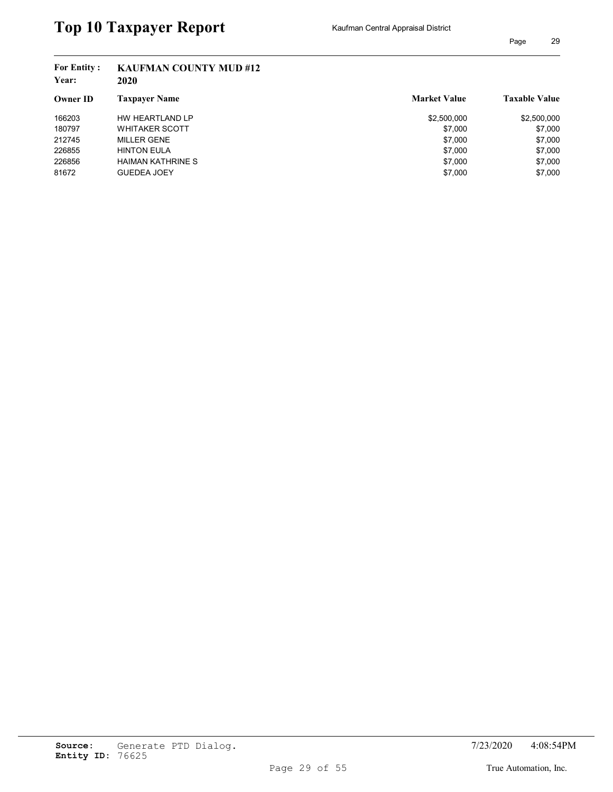## **Year: 2020 Owner ID Taxpayer Name Taxable Value Taxable Value Taxable Value Market Value Taxable Value For Entity : KAUFMAN COUNTY MUD #12** 166203 HW HEARTLAND LP \$2,500,000 \$2,500,000 \$2,500,000 \$2,500,000 \$2,500,000 \$2,500,000 \$2,500,000 \$2,500,000 180797 WHITAKER SCOTT **\$7,000** \$7,000 \$7,000 212745 MILLER GENE \$7,000 \$7,000 226855 HINTON EULA \$7,000 \$7,000 226856 HAIMAN KATHRINE S \$7,000 \$7,000 81672 GUEDEA JOEY \$7,000 \$7,000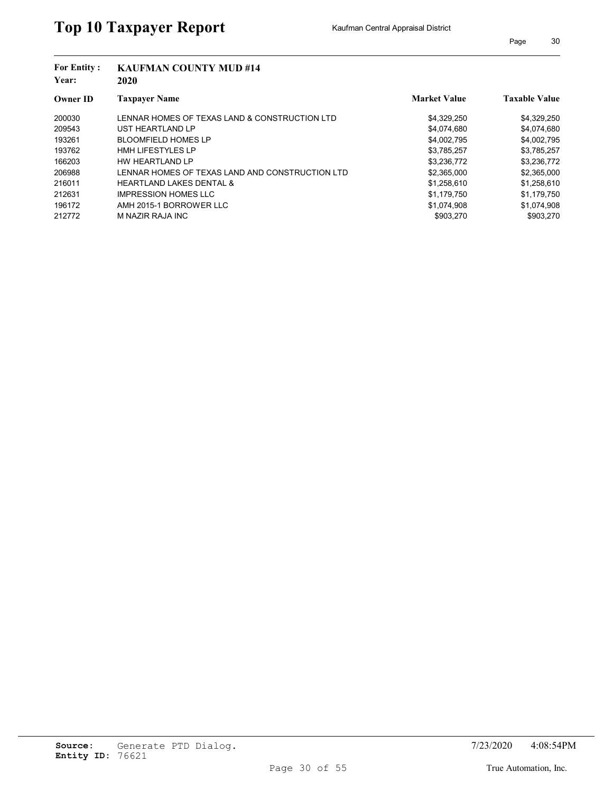| <b>KAUFMAN COUNTY MUD #14</b><br>2020           |                     |                      |
|-------------------------------------------------|---------------------|----------------------|
| <b>Taxpayer Name</b>                            | <b>Market Value</b> | <b>Taxable Value</b> |
| LENNAR HOMES OF TEXAS LAND & CONSTRUCTION LTD   | \$4,329,250         | \$4,329,250          |
| UST HEARTLAND LP                                | \$4,074,680         | \$4,074,680          |
| <b>BLOOMFIELD HOMES LP</b>                      | \$4,002,795         | \$4,002,795          |
| <b>HMH LIFESTYLES LP</b>                        | \$3,785,257         | \$3,785,257          |
| HW HEARTLAND LP                                 | \$3,236,772         | \$3,236,772          |
| LENNAR HOMES OF TEXAS LAND AND CONSTRUCTION LTD | \$2,365,000         | \$2,365,000          |
| <b>HEARTLAND LAKES DENTAL &amp;</b>             | \$1,258,610         | \$1,258,610          |
| <b>IMPRESSION HOMES LLC</b>                     | \$1,179,750         | \$1,179,750          |
| AMH 2015-1 BORROWER LLC                         | \$1,074,908         | \$1,074,908          |
| M NAZIR RAJA INC                                | \$903,270           | \$903,270            |
|                                                 |                     |                      |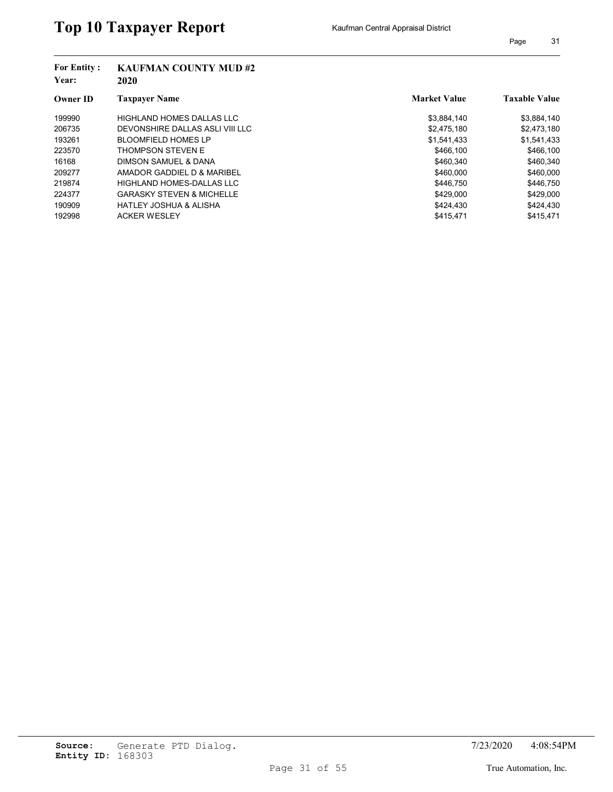| <b>For Entity:</b><br>Year: | <b>KAUFMAN COUNTY MUD #2</b><br>2020 |                     |                      |  |  |
|-----------------------------|--------------------------------------|---------------------|----------------------|--|--|
| <b>Owner ID</b>             | <b>Taxpayer Name</b>                 | <b>Market Value</b> | <b>Taxable Value</b> |  |  |
| 199990                      | HIGHLAND HOMES DALLAS LLC            | \$3,884,140         | \$3,884,140          |  |  |
| 206735                      | DEVONSHIRE DALLAS ASLI VIII LLC      | \$2,475,180         | \$2,473,180          |  |  |
| 193261                      | <b>BLOOMFIELD HOMES LP</b>           | \$1,541,433         | \$1,541,433          |  |  |
| 223570                      | <b>THOMPSON STEVEN E</b>             | \$466.100           | \$466,100            |  |  |
| 16168                       | DIMSON SAMUEL & DANA                 | \$460,340           | \$460,340            |  |  |
| 209277                      | AMADOR GADDIEL D & MARIBEL           | \$460,000           | \$460,000            |  |  |
| 219874                      | HIGHLAND HOMES-DALLAS LLC            | \$446.750           | \$446.750            |  |  |
| 224377                      | <b>GARASKY STEVEN &amp; MICHELLE</b> | \$429,000           | \$429,000            |  |  |
| 190909                      | <b>HATLEY JOSHUA &amp; ALISHA</b>    | \$424.430           | \$424,430            |  |  |
| 192998                      | <b>ACKER WESLEY</b>                  | \$415.471           | \$415,471            |  |  |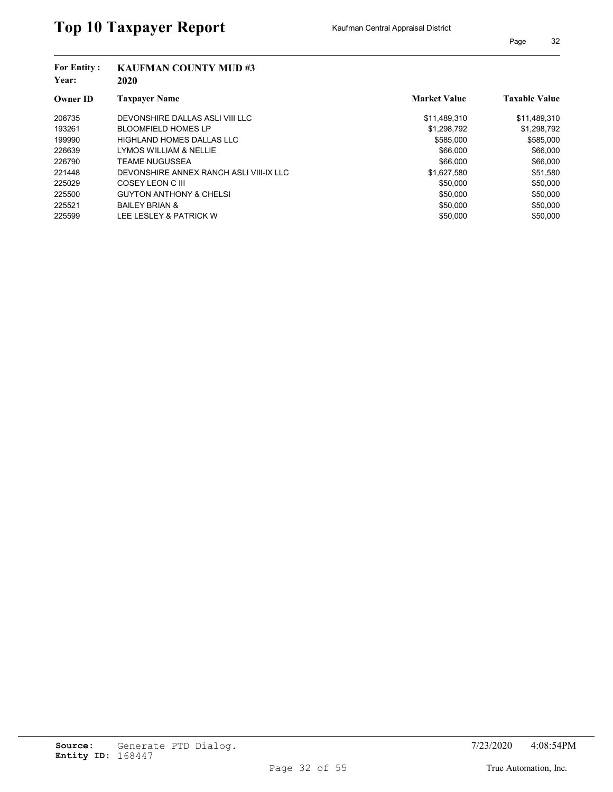| <b>KAUFMAN COUNTY MUD#3</b><br>2020     |                     |                      |
|-----------------------------------------|---------------------|----------------------|
| <b>Taxpaver Name</b>                    | <b>Market Value</b> | <b>Taxable Value</b> |
| DEVONSHIRE DALLAS ASLI VIII LLC         | \$11,489,310        | \$11,489,310         |
| <b>BLOOMFIELD HOMES LP</b>              | \$1,298,792         | \$1,298,792          |
| HIGHLAND HOMES DALLAS LLC               | \$585,000           | \$585,000            |
| LYMOS WILLIAM & NELLIE                  | \$66,000            | \$66,000             |
| <b>TEAME NUGUSSEA</b>                   | \$66,000            | \$66,000             |
| DEVONSHIRE ANNEX RANCH ASLI VIII-IX LLC | \$1,627,580         | \$51,580             |
| COSEY LEON C III                        | \$50,000            | \$50,000             |
| <b>GUYTON ANTHONY &amp; CHELSI</b>      | \$50,000            | \$50,000             |
| <b>BAILEY BRIAN &amp;</b>               | \$50,000            | \$50,000             |
| LEE LESLEY & PATRICK W                  | \$50,000            | \$50,000             |
|                                         |                     |                      |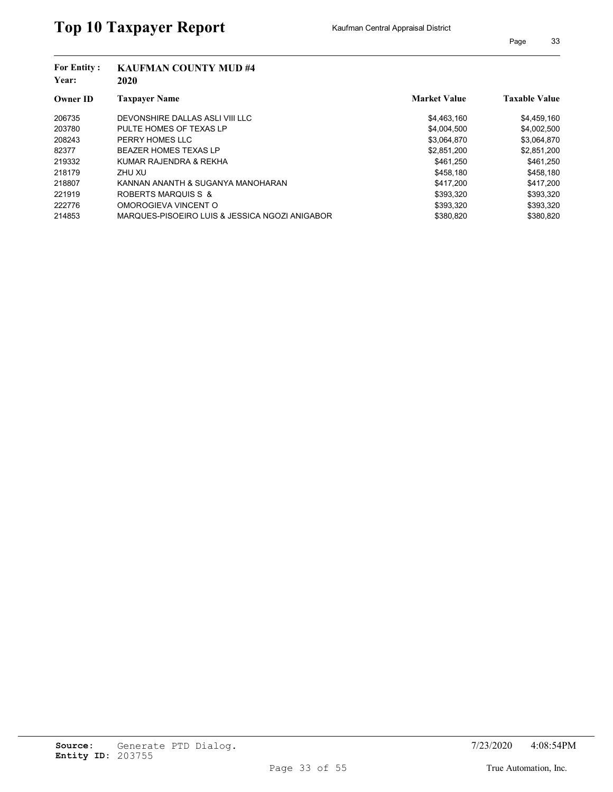| <b>For Entity:</b><br>Year: | <b>KAUFMAN COUNTY MUD #4</b><br>2020           |                     |                      |
|-----------------------------|------------------------------------------------|---------------------|----------------------|
| <b>Owner ID</b>             | <b>Taxpayer Name</b>                           | <b>Market Value</b> | <b>Taxable Value</b> |
| 206735                      | DEVONSHIRE DALLAS ASLI VIII LLC                | \$4,463,160         | \$4,459,160          |
| 203780                      | PULTE HOMES OF TEXAS LP                        | \$4,004,500         | \$4,002,500          |
| 208243                      | PERRY HOMES LLC                                | \$3,064,870         | \$3,064,870          |
| 82377                       | <b>BEAZER HOMES TEXAS LP</b>                   | \$2,851,200         | \$2,851,200          |
| 219332                      | KUMAR RAJENDRA & REKHA                         | \$461.250           | \$461,250            |
| 218179                      | ZHU XU                                         | \$458.180           | \$458.180            |
| 218807                      | KANNAN ANANTH & SUGANYA MANOHARAN              | \$417.200           | \$417,200            |
| 221919                      | ROBERTS MARQUIS S &                            | \$393,320           | \$393,320            |
| 222776                      | OMOROGIEVA VINCENT O                           | \$393,320           | \$393,320            |
| 214853                      | MARQUES-PISOEIRO LUIS & JESSICA NGOZI ANIGABOR | \$380,820           | \$380.820            |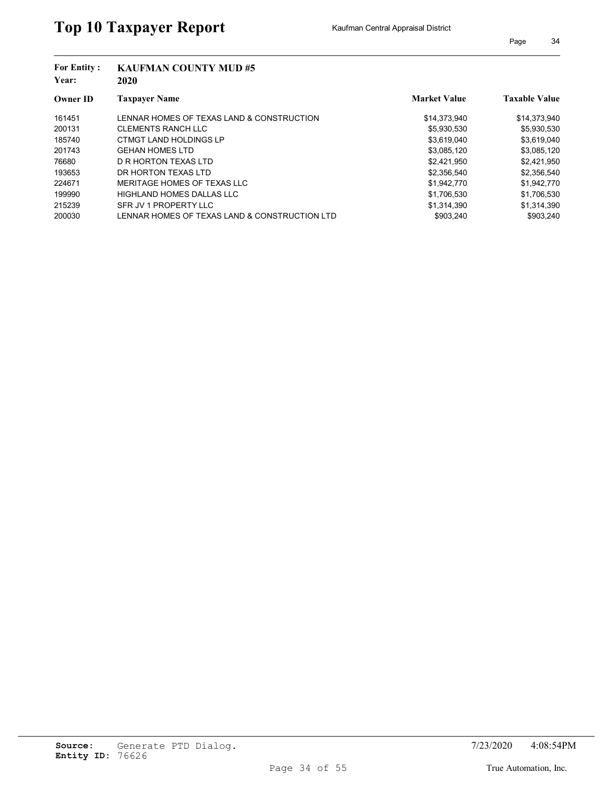| <b>For Entity:</b><br>Year: | <b>KAUFMAN COUNTY MUD#5</b><br>2020           |                     |                      |
|-----------------------------|-----------------------------------------------|---------------------|----------------------|
| <b>Owner ID</b>             | <b>Taxpayer Name</b>                          | <b>Market Value</b> | <b>Taxable Value</b> |
| 161451                      | LENNAR HOMES OF TEXAS LAND & CONSTRUCTION     | \$14,373,940        | \$14,373,940         |
| 200131                      | <b>CLEMENTS RANCH LLC</b>                     | \$5,930,530         | \$5,930,530          |
| 185740                      | CTMGT LAND HOLDINGS LP                        | \$3,619,040         | \$3,619,040          |
| 201743                      | <b>GEHAN HOMES LTD</b>                        | \$3,085,120         | \$3,085,120          |
| 76680                       | D R HORTON TEXAS LTD                          | \$2,421,950         | \$2,421,950          |
| 193653                      | DR HORTON TEXAS LTD                           | \$2,356,540         | \$2,356,540          |
| 224671                      | MERITAGE HOMES OF TEXAS LLC                   | \$1,942,770         | \$1,942,770          |
| 199990                      | HIGHLAND HOMES DALLAS LLC                     | \$1,706,530         | \$1,706,530          |
| 215239                      | SFR JV 1 PROPERTY LLC                         | \$1,314,390         | \$1,314,390          |
| 200030                      | LENNAR HOMES OF TEXAS LAND & CONSTRUCTION LTD | \$903.240           | \$903.240            |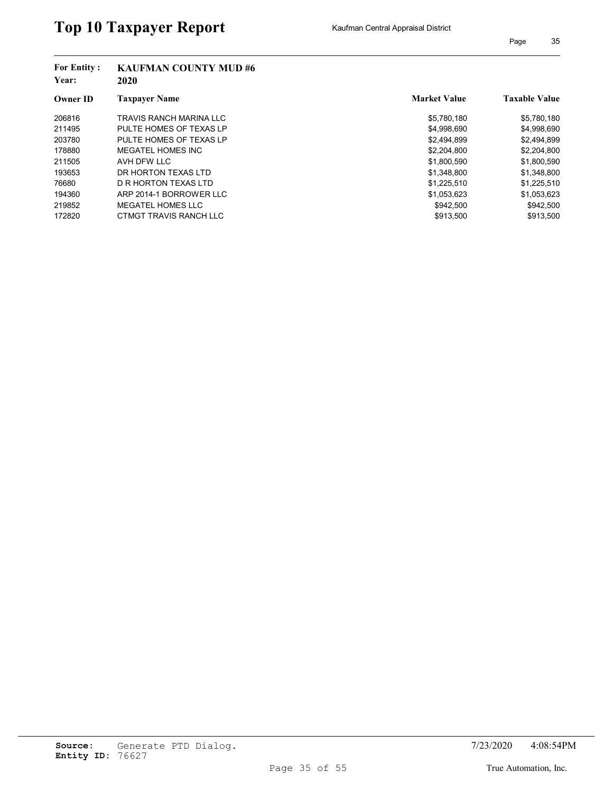| <b>For Entity:</b><br>Year: | <b>KAUFMAN COUNTY MUD#6</b><br>2020 |                     |                      |
|-----------------------------|-------------------------------------|---------------------|----------------------|
| <b>Owner ID</b>             | <b>Taxpayer Name</b>                | <b>Market Value</b> | <b>Taxable Value</b> |
| 206816                      | TRAVIS RANCH MARINA LLC             | \$5,780,180         | \$5,780,180          |
| 211495                      | PULTE HOMES OF TEXAS LP             | \$4,998,690         | \$4,998,690          |
| 203780                      | PULTE HOMES OF TEXAS LP             | \$2,494,899         | \$2,494,899          |
| 178880                      | MEGATEL HOMES INC                   | \$2,204,800         | \$2,204,800          |
| 211505                      | AVH DFW LLC                         | \$1,800,590         | \$1,800,590          |
| 193653                      | DR HORTON TEXAS LTD                 | \$1,348,800         | \$1,348,800          |
| 76680                       | D R HORTON TEXAS LTD                | \$1,225,510         | \$1,225,510          |
| 194360                      | ARP 2014-1 BORROWER LLC             | \$1,053,623         | \$1,053,623          |
| 219852                      | MEGATEL HOMES LLC                   | \$942,500           | \$942,500            |
| 172820                      | CTMGT TRAVIS RANCH LLC              | \$913.500           | \$913.500            |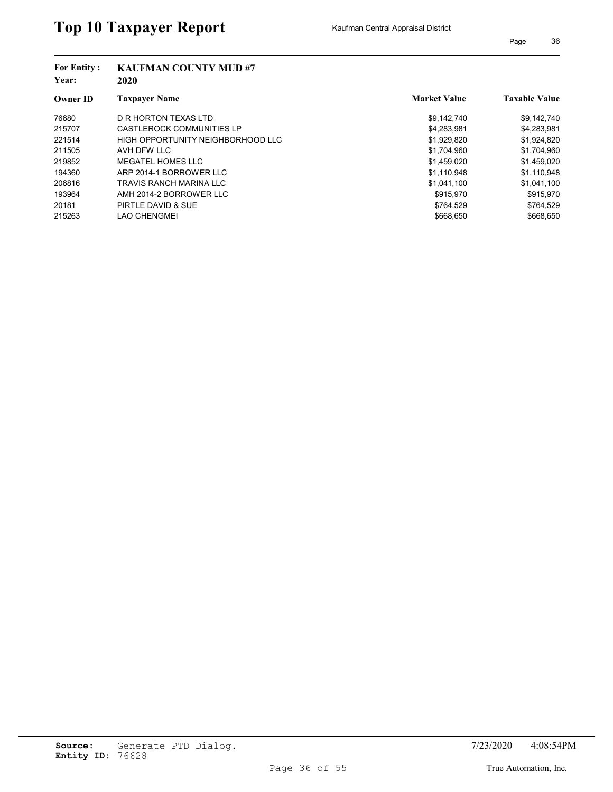| <b>For Entity:</b><br>Year: | <b>KAUFMAN COUNTY MUD #7</b><br>2020 |                     |                      |
|-----------------------------|--------------------------------------|---------------------|----------------------|
| <b>Owner ID</b>             | <b>Taxpayer Name</b>                 | <b>Market Value</b> | <b>Taxable Value</b> |
| 76680                       | D R HORTON TEXAS LTD                 | \$9,142,740         | \$9,142,740          |
| 215707                      | CASTLEROCK COMMUNITIES LP            | \$4,283,981         | \$4,283,981          |
| 221514                      | HIGH OPPORTUNITY NEIGHBORHOOD LLC    | \$1,929,820         | \$1,924,820          |
| 211505                      | AVH DFW LLC                          | \$1.704.960         | \$1,704,960          |
| 219852                      | MEGATEL HOMES LLC                    | \$1,459,020         | \$1,459,020          |
| 194360                      | ARP 2014-1 BORROWER LLC              | \$1.110.948         | \$1,110,948          |
| 206816                      | TRAVIS RANCH MARINA LLC              | \$1,041,100         | \$1,041,100          |
| 193964                      | AMH 2014-2 BORROWER LLC              | \$915.970           | \$915,970            |
| 20181                       | PIRTLE DAVID & SUE                   | \$764,529           | \$764,529            |
| 215263                      | LAO CHENGMEI                         | \$668,650           | \$668,650            |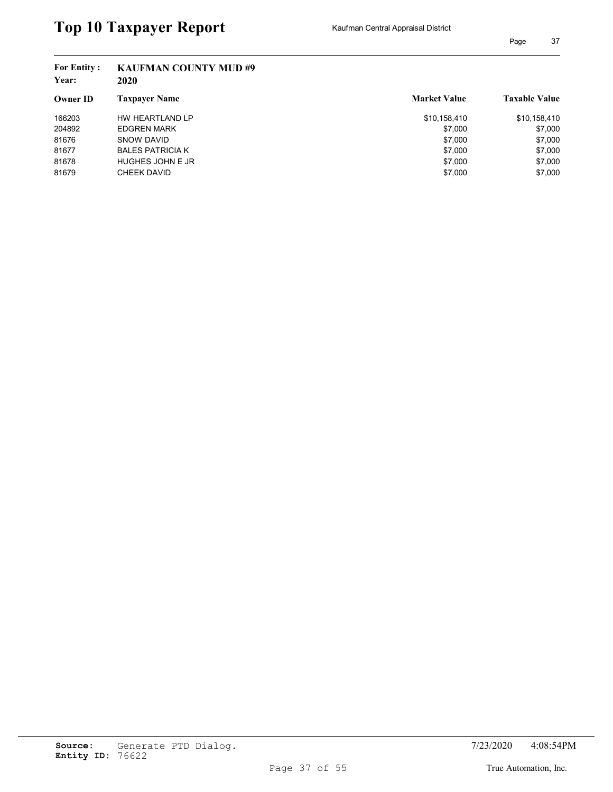## **Year: 2020 Owner ID Taxpayer Name Taxable Value Taxable Value Taxable Value Market Value Taxable Value For Entity : KAUFMAN COUNTY MUD #9** 166203 HW HEARTLAND LP **\$10,158,410** \$10,158,410 \$10,158,410 204892 EDGREN MARK \$7,000 \$7,000 \$7,000 81676 SNOW DAVID \$7,000 \$7,000 81677 BALES PATRICIA K \$7,000 \$7,000 \$7,000 81678 HUGHES JOHN E JR \$7,000 \$7,000 81679 CHEEK DAVID CONSERVERSION CONSERVERSION CONSERVERSION CONSERVERSION CONSERVERSION CONSERVERSION CONSERVERSION CONSERVERSION CONSERVERSION CONSERVERSION CONSERVERSION CONSERVERSION CONSERVERSION CONSERVERSION CONSERVE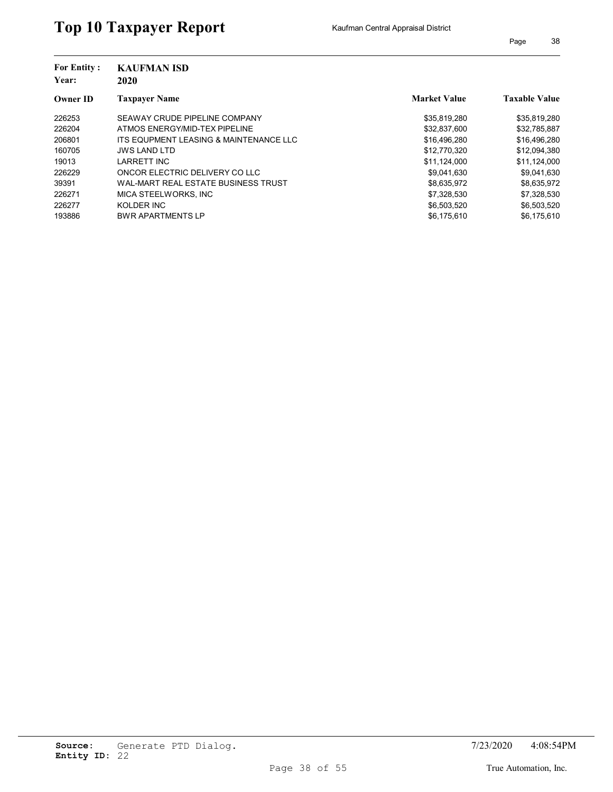| <b>For Entity:</b><br>Year: | <b>KAUFMAN ISD</b><br>2020             |                     |                      |
|-----------------------------|----------------------------------------|---------------------|----------------------|
| <b>Owner ID</b>             | <b>Taxpaver Name</b>                   | <b>Market Value</b> | <b>Taxable Value</b> |
| 226253                      | SEAWAY CRUDE PIPELINE COMPANY          | \$35,819,280        | \$35,819,280         |
| 226204                      | ATMOS ENERGY/MID-TEX PIPELINE          | \$32,837,600        | \$32,785,887         |
| 206801                      | ITS EQUPMENT LEASING & MAINTENANCE LLC | \$16,496,280        | \$16,496,280         |
| 160705                      | <b>JWS LAND LTD</b>                    | \$12,770,320        | \$12,094,380         |
| 19013                       | <b>LARRETT INC</b>                     | \$11,124,000        | \$11,124,000         |
| 226229                      | ONCOR ELECTRIC DELIVERY CO LLC         | \$9,041,630         | \$9,041,630          |
| 39391                       | WAL-MART REAL ESTATE BUSINESS TRUST    | \$8,635,972         | \$8,635,972          |
| 226271                      | MICA STEELWORKS. INC                   | \$7.328.530         | \$7,328,530          |
| 226277                      | KOLDER INC                             | \$6,503,520         | \$6,503,520          |
| 193886                      | <b>BWR APARTMENTS LP</b>               | \$6,175,610         | \$6.175.610          |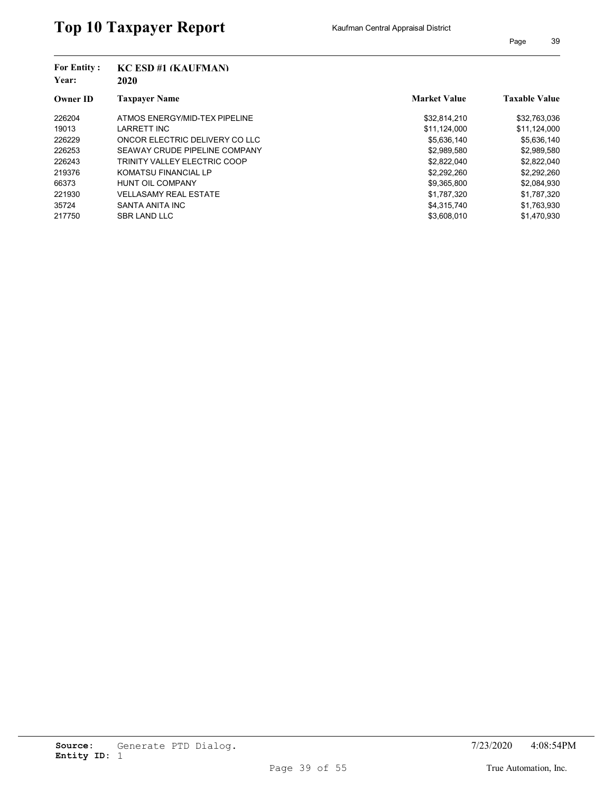| <b>For Entity:</b><br>Year:<br><b>Owner ID</b> | <b>KC ESD #1 (KAUFMAN)</b><br>2020 |                     |                      |
|------------------------------------------------|------------------------------------|---------------------|----------------------|
|                                                | <b>Taxpaver Name</b>               | <b>Market Value</b> | <b>Taxable Value</b> |
| 226204                                         | ATMOS ENERGY/MID-TEX PIPELINE      | \$32,814,210        | \$32,763,036         |
| 19013                                          | <b>LARRETT INC</b>                 | \$11,124,000        | \$11,124,000         |
| 226229                                         | ONCOR ELECTRIC DELIVERY CO LLC     | \$5,636,140         | \$5,636,140          |
| 226253                                         | SEAWAY CRUDE PIPELINE COMPANY      | \$2,989,580         | \$2,989,580          |
| 226243                                         | TRINITY VALLEY ELECTRIC COOP       | \$2,822,040         | \$2,822,040          |
| 219376                                         | <b>KOMATSU FINANCIAL LP</b>        | \$2,292,260         | \$2,292,260          |
| 66373                                          | <b>HUNT OIL COMPANY</b>            | \$9,365,800         | \$2,084,930          |
| 221930                                         | <b>VELLASAMY REAL ESTATE</b>       | \$1,787,320         | \$1,787,320          |
| 35724                                          | SANTA ANITA INC                    | \$4,315,740         | \$1,763,930          |
| 217750                                         | <b>SBR LAND LLC</b>                | \$3,608,010         | \$1,470,930          |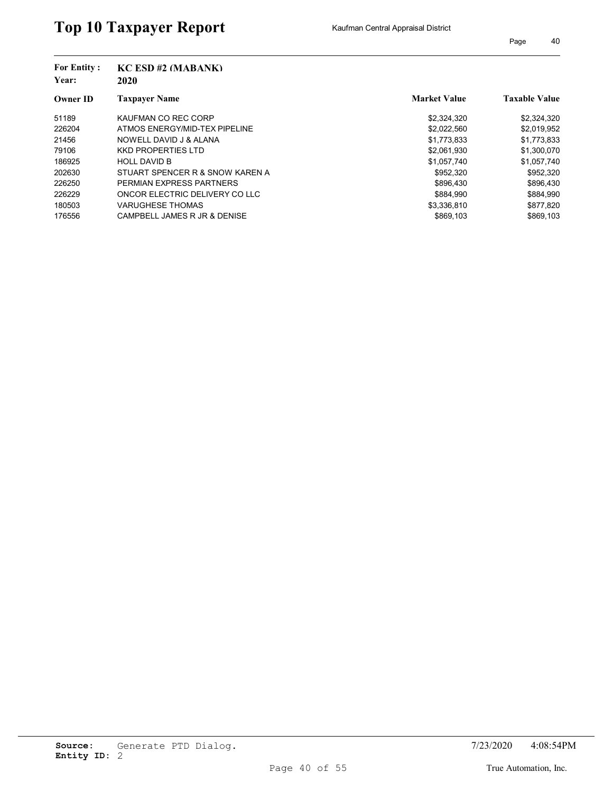| <b>For Entity:</b><br>Year:<br><b>Owner ID</b> | $KC$ ESD #2 (MABANK)<br>2020    |                     |                      |
|------------------------------------------------|---------------------------------|---------------------|----------------------|
|                                                | <b>Taxpayer Name</b>            | <b>Market Value</b> | <b>Taxable Value</b> |
| 51189                                          | KAUFMAN CO REC CORP             | \$2,324,320         | \$2,324,320          |
| 226204                                         | ATMOS ENERGY/MID-TEX PIPELINE   | \$2,022,560         | \$2,019,952          |
| 21456                                          | NOWELL DAVID J & ALANA          | \$1,773,833         | \$1,773,833          |
| 79106                                          | <b>KKD PROPERTIES LTD</b>       | \$2.061.930         | \$1,300,070          |
| 186925                                         | <b>HOLL DAVID B</b>             | \$1,057,740         | \$1,057,740          |
| 202630                                         | STUART SPENCER R & SNOW KAREN A | \$952,320           | \$952,320            |
| 226250                                         | PERMIAN EXPRESS PARTNERS        | \$896.430           | \$896,430            |
| 226229                                         | ONCOR ELECTRIC DELIVERY CO LLC  | \$884.990           | \$884,990            |
| 180503                                         | <b>VARUGHESE THOMAS</b>         | \$3,336,810         | \$877,820            |
| 176556                                         | CAMPBELL JAMES R JR & DENISE    | \$869.103           | \$869.103            |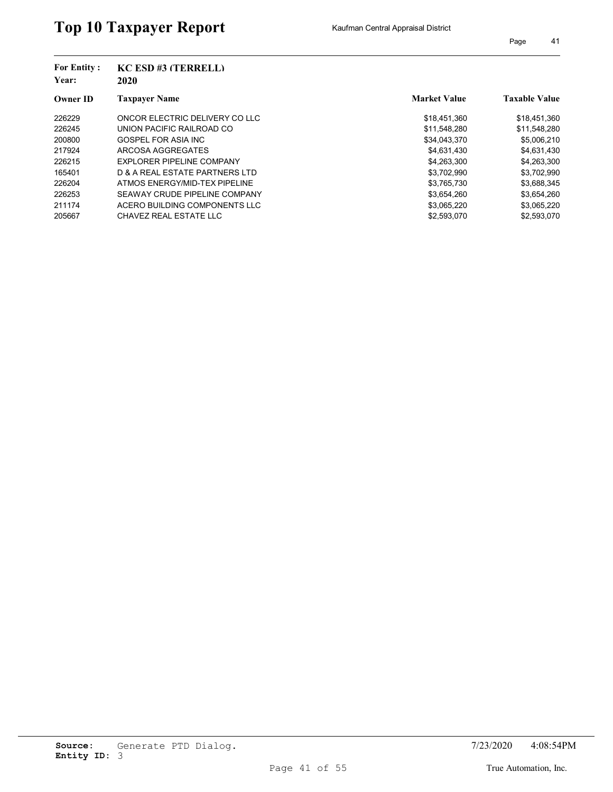| <b>For Entity:</b><br>Year: | $KC$ ESD #3 (TERRELL)<br>2020  |                     |                      |
|-----------------------------|--------------------------------|---------------------|----------------------|
| <b>Owner ID</b>             | <b>Taxpayer Name</b>           | <b>Market Value</b> | <b>Taxable Value</b> |
| 226229                      | ONCOR ELECTRIC DELIVERY CO LLC | \$18,451,360        | \$18,451,360         |
| 226245                      | UNION PACIFIC RAILROAD CO      | \$11,548,280        | \$11,548,280         |
| 200800                      | GOSPEL FOR ASIA INC            | \$34,043,370        | \$5,006,210          |
| 217924                      | ARCOSA AGGREGATES              | \$4,631,430         | \$4,631,430          |
| 226215                      | EXPLORER PIPELINE COMPANY      | \$4,263,300         | \$4,263,300          |
| 165401                      | D & A REAL ESTATE PARTNERS LTD | \$3.702.990         | \$3,702,990          |
| 226204                      | ATMOS ENERGY/MID-TEX PIPELINE  | \$3,765,730         | \$3,688,345          |
| 226253                      | SEAWAY CRUDE PIPELINE COMPANY  | \$3,654,260         | \$3,654,260          |
| 211174                      | ACERO BUILDING COMPONENTS LLC  | \$3,065,220         | \$3,065,220          |
| 205667                      | CHAVEZ REAL ESTATE LLC         | \$2,593,070         | \$2,593,070          |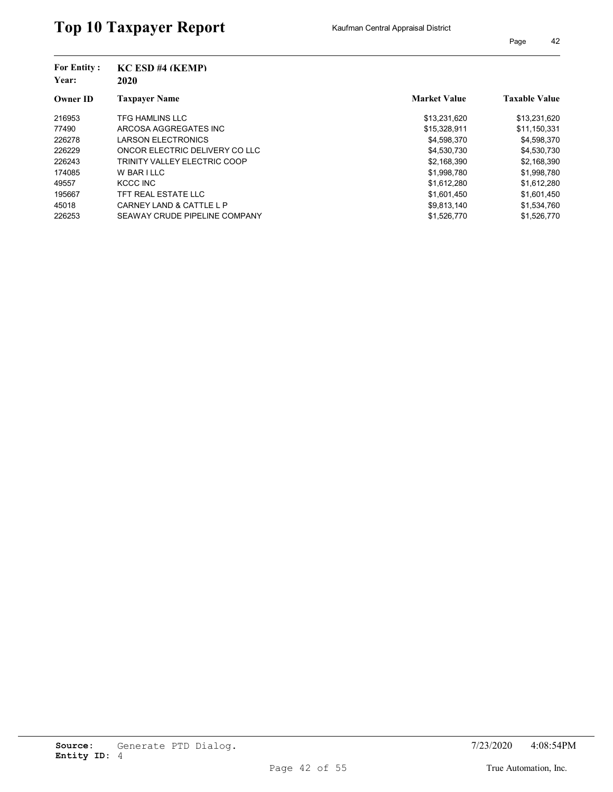| <b>For Entity:</b><br>Year: | <b>KC ESD #4 (KEMP)</b><br>2020 |                     |                      |
|-----------------------------|---------------------------------|---------------------|----------------------|
| <b>Owner ID</b>             | <b>Taxpayer Name</b>            | <b>Market Value</b> | <b>Taxable Value</b> |
| 216953                      | TFG HAMLINS LLC                 | \$13,231,620        | \$13,231,620         |
| 77490                       | ARCOSA AGGREGATES INC           | \$15,328,911        | \$11,150,331         |
| 226278                      | LARSON ELECTRONICS              | \$4,598,370         | \$4,598,370          |
| 226229                      | ONCOR ELECTRIC DELIVERY CO LLC  | \$4,530,730         | \$4,530,730          |
| 226243                      | TRINITY VALLEY ELECTRIC COOP    | \$2,168,390         | \$2,168,390          |
| 174085                      | W BAR I LLC                     | \$1,998,780         | \$1,998,780          |
| 49557                       | KCCC INC                        | \$1,612,280         | \$1,612,280          |
| 195667                      | TFT REAL ESTATE LLC             | \$1,601,450         | \$1,601,450          |
| 45018                       | CARNEY LAND & CATTLE L P        | \$9,813,140         | \$1,534,760          |
| 226253                      | SEAWAY CRUDE PIPELINE COMPANY   | \$1,526,770         | \$1,526,770          |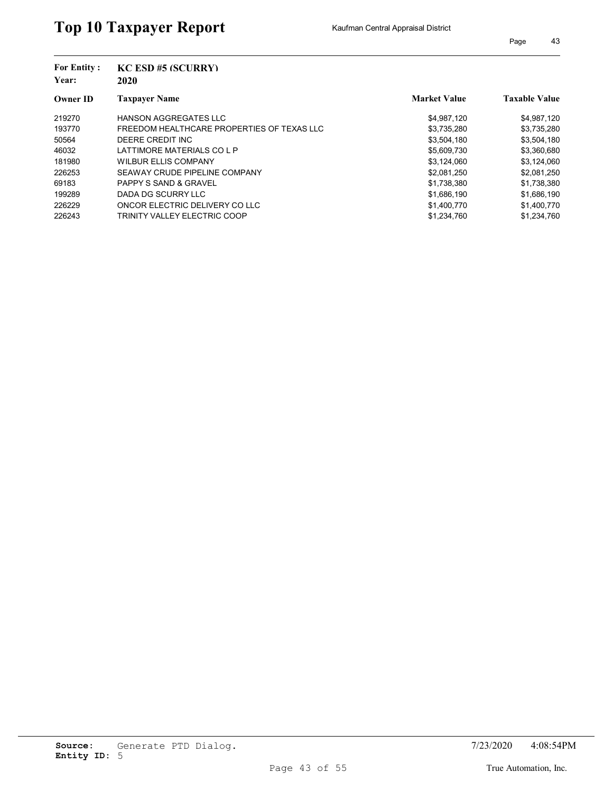| <b>For Entity:</b><br>Year: | <b>KC ESD #5 (SCURRY)</b><br>2020          |                     |                      |
|-----------------------------|--------------------------------------------|---------------------|----------------------|
| <b>Owner ID</b>             | <b>Taxpayer Name</b>                       | <b>Market Value</b> | <b>Taxable Value</b> |
| 219270                      | <b>HANSON AGGREGATES LLC</b>               | \$4,987,120         | \$4,987,120          |
| 193770                      | FREEDOM HEALTHCARE PROPERTIES OF TEXAS LLC | \$3,735,280         | \$3,735,280          |
| 50564                       | DEERE CREDIT INC                           | \$3,504,180         | \$3,504,180          |
| 46032                       | LATTIMORE MATERIALS CO L P                 | \$5,609,730         | \$3,360,680          |
| 181980                      | <b>WILBUR ELLIS COMPANY</b>                | \$3,124,060         | \$3,124,060          |
| 226253                      | SEAWAY CRUDE PIPELINE COMPANY              | \$2,081,250         | \$2,081,250          |
| 69183                       | <b>PAPPY S SAND &amp; GRAVEL</b>           | \$1,738,380         | \$1,738,380          |
| 199289                      | DADA DG SCURRY LLC                         | \$1,686,190         | \$1,686,190          |
| 226229                      | ONCOR ELECTRIC DELIVERY CO LLC             | \$1,400,770         | \$1,400,770          |
| 226243                      | TRINITY VALLEY ELECTRIC COOP               | \$1,234,760         | \$1,234,760          |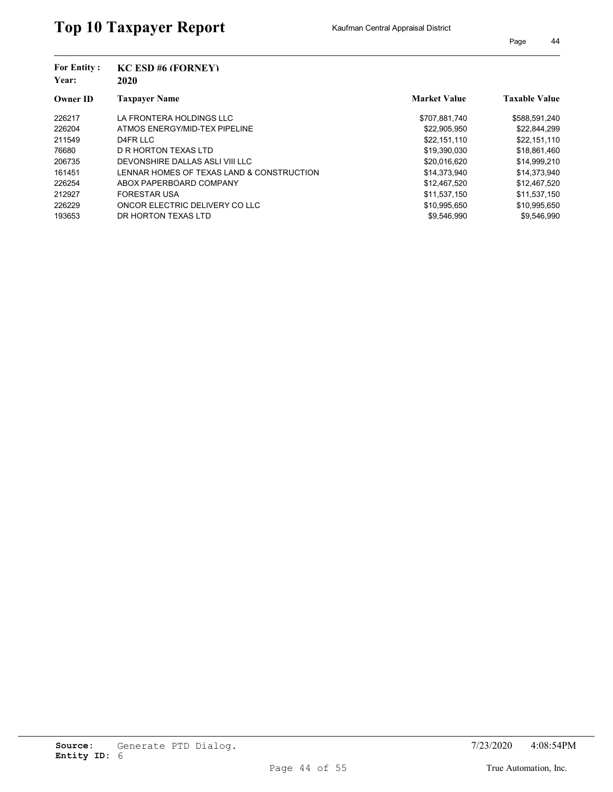| <b>For Entity:</b><br>Year: | <b>KC ESD #6 (FORNEY)</b><br>2020         |                     |                      |
|-----------------------------|-------------------------------------------|---------------------|----------------------|
| <b>Owner ID</b>             | <b>Taxpayer Name</b>                      | <b>Market Value</b> | <b>Taxable Value</b> |
| 226217                      | LA FRONTERA HOLDINGS LLC                  | \$707,881,740       | \$588,591,240        |
| 226204                      | ATMOS ENERGY/MID-TEX PIPELINE             | \$22,905,950        | \$22,844,299         |
| 211549                      | D4FR LLC                                  | \$22,151,110        | \$22,151,110         |
| 76680                       | D R HORTON TEXAS LTD                      | \$19.390.030        | \$18,861,460         |
| 206735                      | DEVONSHIRE DALLAS ASLI VIII LLC           | \$20,016,620        | \$14,999,210         |
| 161451                      | LENNAR HOMES OF TEXAS LAND & CONSTRUCTION | \$14.373.940        | \$14,373,940         |
| 226254                      | ABOX PAPERBOARD COMPANY                   | \$12,467,520        | \$12,467,520         |
| 212927                      | <b>FORESTAR USA</b>                       | \$11.537.150        | \$11,537,150         |
| 226229                      | ONCOR ELECTRIC DELIVERY CO LLC            | \$10,995,650        | \$10,995,650         |
| 193653                      | DR HORTON TEXAS LTD                       | \$9,546,990         | \$9,546.990          |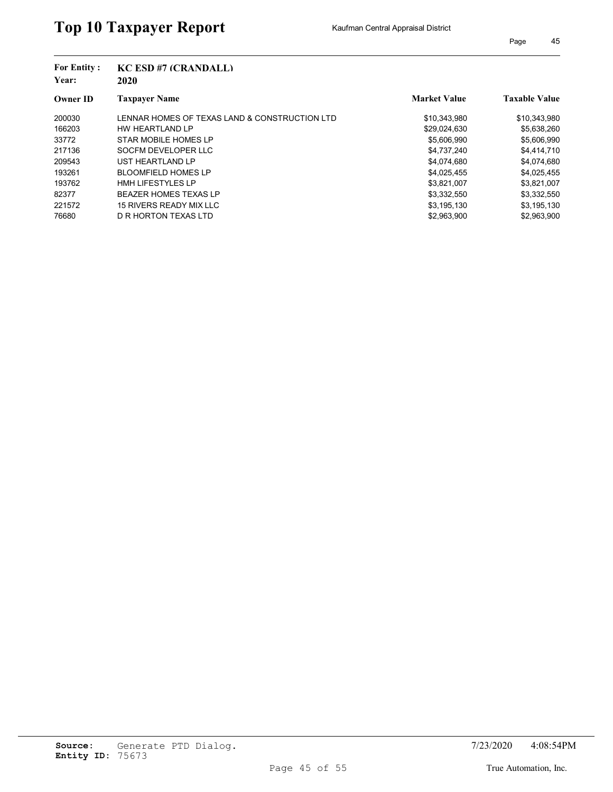| <b>For Entity:</b><br>Year: | $KC$ ESD #7 $(CRANDALL)$<br>2020              |                     |                      |
|-----------------------------|-----------------------------------------------|---------------------|----------------------|
| <b>Owner ID</b>             | <b>Taxpayer Name</b>                          | <b>Market Value</b> | <b>Taxable Value</b> |
| 200030                      | LENNAR HOMES OF TEXAS LAND & CONSTRUCTION LTD | \$10,343,980        | \$10,343,980         |
| 166203                      | HW HEARTLAND LP                               | \$29,024,630        | \$5,638,260          |
| 33772                       | STAR MOBILE HOMES LP                          | \$5,606,990         | \$5,606,990          |
| 217136                      | SOCFM DEVELOPER LLC                           | \$4,737,240         | \$4,414,710          |
| 209543                      | UST HEARTLAND LP                              | \$4,074,680         | \$4,074,680          |
| 193261                      | <b>BLOOMFIELD HOMES LP</b>                    | \$4,025,455         | \$4,025,455          |
| 193762                      | <b>HMH LIFESTYLES LP</b>                      | \$3,821,007         | \$3,821,007          |
| 82377                       | <b>BEAZER HOMES TEXAS LP</b>                  | \$3,332,550         | \$3,332,550          |
| 221572                      | 15 RIVERS READY MIX LLC                       | \$3,195,130         | \$3,195,130          |
| 76680                       | D R HORTON TEXAS LTD                          | \$2.963.900         | \$2.963.900          |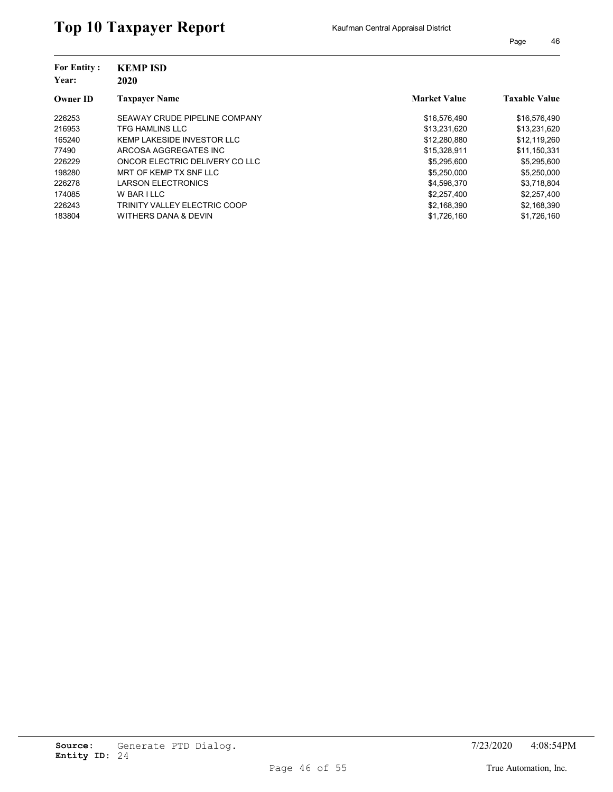| <b>For Entity:</b><br>Year:<br><b>Owner ID</b> | <b>KEMP ISD</b><br>2020        |                     |                      |
|------------------------------------------------|--------------------------------|---------------------|----------------------|
|                                                | <b>Taxpaver Name</b>           | <b>Market Value</b> | <b>Taxable Value</b> |
| 226253                                         | SEAWAY CRUDE PIPELINE COMPANY  | \$16,576,490        | \$16,576,490         |
| 216953                                         | TFG HAMLINS LLC                | \$13,231,620        | \$13,231,620         |
| 165240                                         | KEMP LAKESIDE INVESTOR LLC     | \$12,280,880        | \$12,119,260         |
| 77490                                          | ARCOSA AGGREGATES INC          | \$15,328,911        | \$11,150,331         |
| 226229                                         | ONCOR ELECTRIC DELIVERY CO LLC | \$5,295,600         | \$5,295,600          |
| 198280                                         | MRT OF KEMP TX SNF LLC         | \$5,250,000         | \$5,250,000          |
| 226278                                         | <b>LARSON ELECTRONICS</b>      | \$4,598,370         | \$3,718,804          |
| 174085                                         | W BAR I LLC                    | \$2,257,400         | \$2,257,400          |
| 226243                                         | TRINITY VALLEY ELECTRIC COOP   | \$2,168,390         | \$2,168,390          |
| 183804                                         | WITHERS DANA & DEVIN           | \$1,726,160         | \$1,726,160          |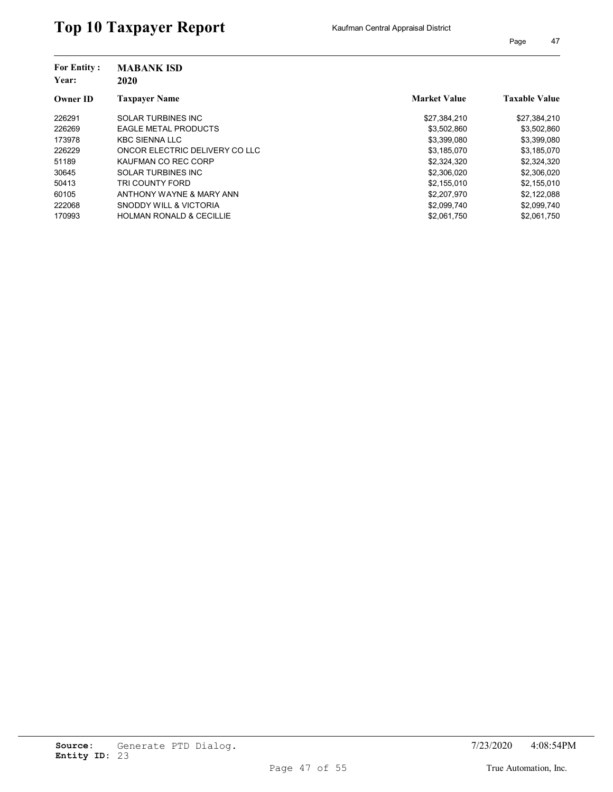| <b>For Entity:</b><br>Year: | <b>MABANK ISD</b><br>2020           |                     |                      |
|-----------------------------|-------------------------------------|---------------------|----------------------|
| <b>Owner ID</b>             | <b>Taxpayer Name</b>                | <b>Market Value</b> | <b>Taxable Value</b> |
| 226291                      | <b>SOLAR TURBINES INC</b>           | \$27,384,210        | \$27,384,210         |
| 226269                      | <b>EAGLE METAL PRODUCTS</b>         | \$3,502,860         | \$3,502,860          |
| 173978                      | <b>KBC SIENNA LLC</b>               | \$3,399,080         | \$3,399,080          |
| 226229                      | ONCOR ELECTRIC DELIVERY CO LLC      | \$3,185,070         | \$3,185,070          |
| 51189                       | KAUFMAN CO REC CORP                 | \$2,324,320         | \$2,324,320          |
| 30645                       | <b>SOLAR TURBINES INC</b>           | \$2,306,020         | \$2,306,020          |
| 50413                       | TRI COUNTY FORD                     | \$2,155,010         | \$2,155,010          |
| 60105                       | ANTHONY WAYNE & MARY ANN            | \$2,207,970         | \$2,122,088          |
| 222068                      | SNODDY WILL & VICTORIA              | \$2,099,740         | \$2,099,740          |
| 170993                      | <b>HOLMAN RONALD &amp; CECILLIE</b> | \$2,061,750         | \$2,061,750          |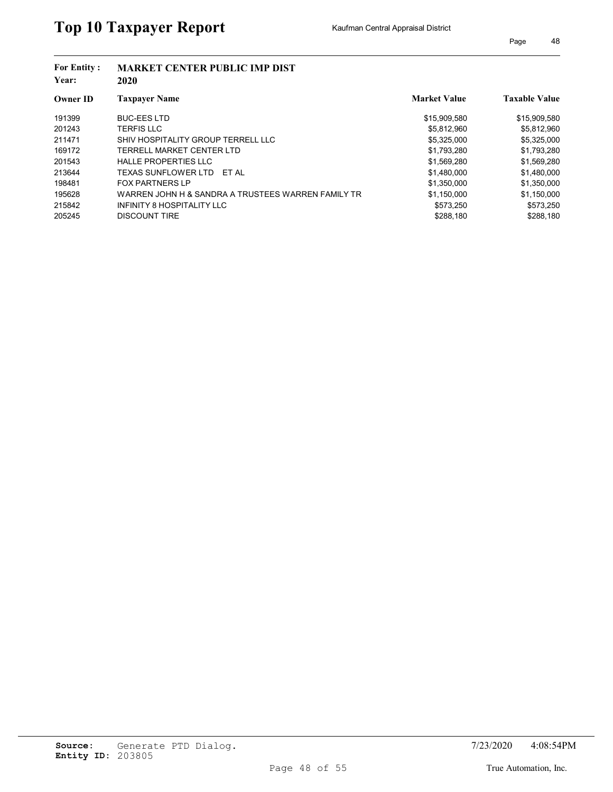| <b>For Entity:</b><br>Year: | <b>MARKET CENTER PUBLIC IMP DIST</b><br>2020       |                     |                      |  |  |
|-----------------------------|----------------------------------------------------|---------------------|----------------------|--|--|
| <b>Owner ID</b>             | <b>Taxpayer Name</b>                               | <b>Market Value</b> | <b>Taxable Value</b> |  |  |
| 191399                      | <b>BUC-EES LTD</b>                                 | \$15,909,580        | \$15,909,580         |  |  |
| 201243                      | <b>TERFIS LLC</b>                                  | \$5.812.960         | \$5,812,960          |  |  |
| 211471                      | SHIV HOSPITALITY GROUP TERRELL LLC                 | \$5,325,000         | \$5,325,000          |  |  |
| 169172                      | TERRELL MARKET CENTER LTD                          | \$1,793,280         | \$1,793,280          |  |  |
| 201543                      | <b>HALLE PROPERTIES LLC</b>                        | \$1,569,280         | \$1,569,280          |  |  |
| 213644                      | TEXAS SUNFLOWER LTD<br>FT AI                       | \$1,480,000         | \$1,480,000          |  |  |
| 198481                      | <b>FOX PARTNERS LP</b>                             | \$1,350,000         | \$1,350,000          |  |  |
| 195628                      | WARREN JOHN H & SANDRA A TRUSTEES WARREN FAMILY TR | \$1.150.000         | \$1,150,000          |  |  |
| 215842                      | INFINITY 8 HOSPITALITY LLC                         | \$573.250           | \$573,250            |  |  |
| 205245                      | <b>DISCOUNT TIRE</b>                               | \$288,180           | \$288,180            |  |  |
|                             |                                                    |                     |                      |  |  |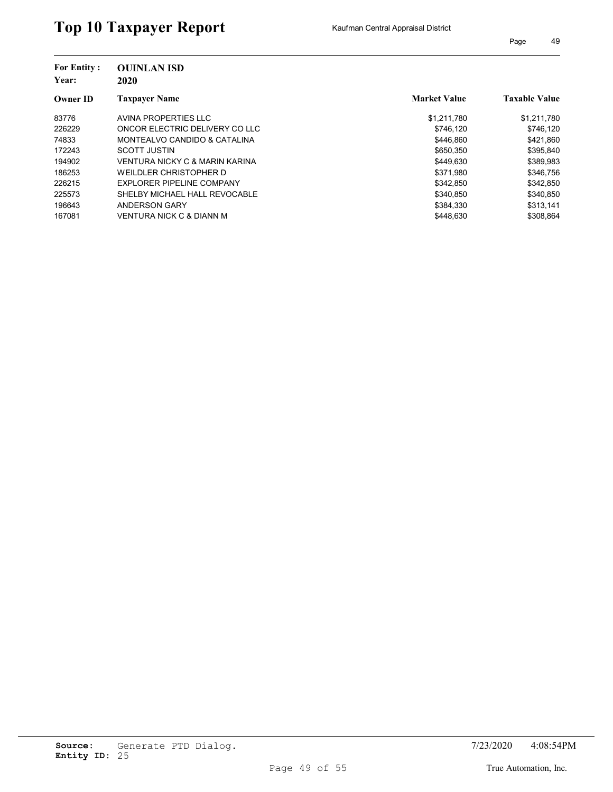| <b>For Entity:</b><br>Year:<br><b>Owner ID</b> | <b>OUINLAN ISD</b><br>2020     |                     |                      |
|------------------------------------------------|--------------------------------|---------------------|----------------------|
|                                                | <b>Taxpaver Name</b>           | <b>Market Value</b> | <b>Taxable Value</b> |
| 83776                                          | AVINA PROPERTIES LLC           | \$1,211,780         | \$1,211,780          |
| 226229                                         | ONCOR ELECTRIC DELIVERY CO LLC | \$746.120           | \$746,120            |
| 74833                                          | MONTEALVO CANDIDO & CATALINA   | \$446.860           | \$421.860            |
| 172243                                         | <b>SCOTT JUSTIN</b>            | \$650.350           | \$395.840            |
| 194902                                         | VENTURA NICKY C & MARIN KARINA | \$449,630           | \$389,983            |
| 186253                                         | WEILDLER CHRISTOPHER D         | \$371,980           | \$346,756            |
| 226215                                         | EXPLORER PIPELINE COMPANY      | \$342.850           | \$342.850            |
| 225573                                         | SHELBY MICHAEL HALL REVOCABLE  | \$340.850           | \$340.850            |
| 196643                                         | <b>ANDERSON GARY</b>           | \$384,330           | \$313,141            |
| 167081                                         | VENTURA NICK C & DIANN M       | \$448.630           | \$308.864            |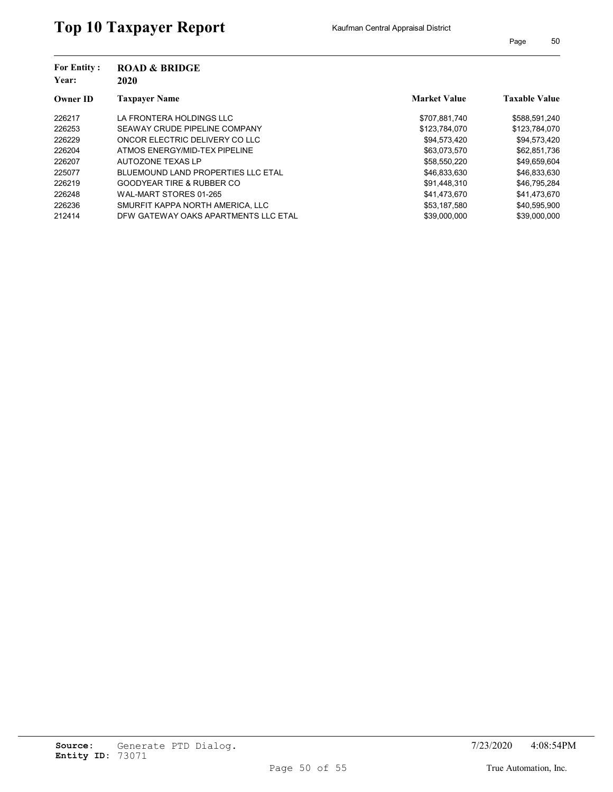| <b>For Entity:</b><br>Year: | <b>ROAD &amp; BRIDGE</b><br>2020          |                     |                      |
|-----------------------------|-------------------------------------------|---------------------|----------------------|
| <b>Owner ID</b>             | Taxpayer Name                             | <b>Market Value</b> | <b>Taxable Value</b> |
| 226217                      | LA FRONTERA HOLDINGS LLC                  | \$707,881,740       | \$588,591,240        |
| 226253                      | SEAWAY CRUDE PIPELINE COMPANY             | \$123,784,070       | \$123,784,070        |
| 226229                      | ONCOR ELECTRIC DELIVERY CO LLC            | \$94.573.420        | \$94,573,420         |
| 226204                      | ATMOS ENERGY/MID-TEX PIPELINE             | \$63.073.570        | \$62,851,736         |
| 226207                      | AUTOZONE TEXAS LP                         | \$58,550,220        | \$49,659,604         |
| 225077                      | <b>BLUEMOUND LAND PROPERTIES LLC ETAL</b> | \$46,833,630        | \$46,833,630         |
| 226219                      | <b>GOODYEAR TIRE &amp; RUBBER CO</b>      | \$91,448,310        | \$46,795,284         |
| 226248                      | WAL-MART STORES 01-265                    | \$41.473.670        | \$41,473,670         |
| 226236                      | SMURFIT KAPPA NORTH AMERICA. LLC          | \$53,187,580        | \$40,595,900         |
| 212414                      | DFW GATEWAY OAKS APARTMENTS LLC ETAL      | \$39,000,000        | \$39,000,000         |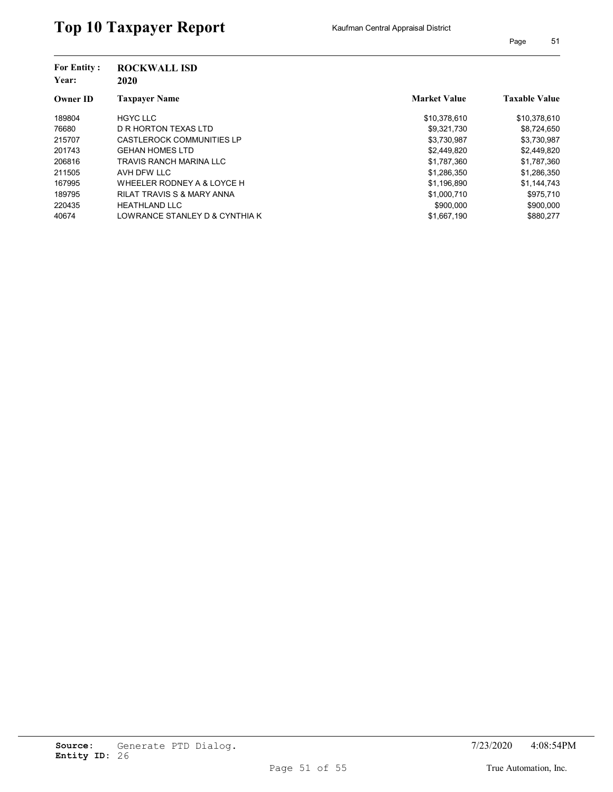| <b>For Entity:</b><br>Year: | <b>ROCKWALL ISD</b><br>2020           |                     |                      |
|-----------------------------|---------------------------------------|---------------------|----------------------|
| <b>Owner ID</b>             | <b>Taxpaver Name</b>                  | <b>Market Value</b> | <b>Taxable Value</b> |
| 189804                      | <b>HGYC LLC</b>                       | \$10,378,610        | \$10,378,610         |
| 76680                       | D R HORTON TEXAS LTD                  | \$9,321,730         | \$8,724,650          |
| 215707                      | <b>CASTLEROCK COMMUNITIES LP</b>      | \$3,730,987         | \$3,730,987          |
| 201743                      | <b>GEHAN HOMES LTD</b>                | \$2,449,820         | \$2,449,820          |
| 206816                      | TRAVIS RANCH MARINA LLC               | \$1,787,360         | \$1,787,360          |
| 211505                      | AVH DFW LLC                           | \$1,286,350         | \$1,286,350          |
| 167995                      | WHEELER RODNEY A & LOYCE H            | \$1,196,890         | \$1,144,743          |
| 189795                      | <b>RILAT TRAVIS S &amp; MARY ANNA</b> | \$1,000,710         | \$975,710            |
| 220435                      | <b>HEATHLAND LLC</b>                  | \$900,000           | \$900,000            |
| 40674                       | LOWRANCE STANLEY D & CYNTHIA K        | \$1,667,190         | \$880.277            |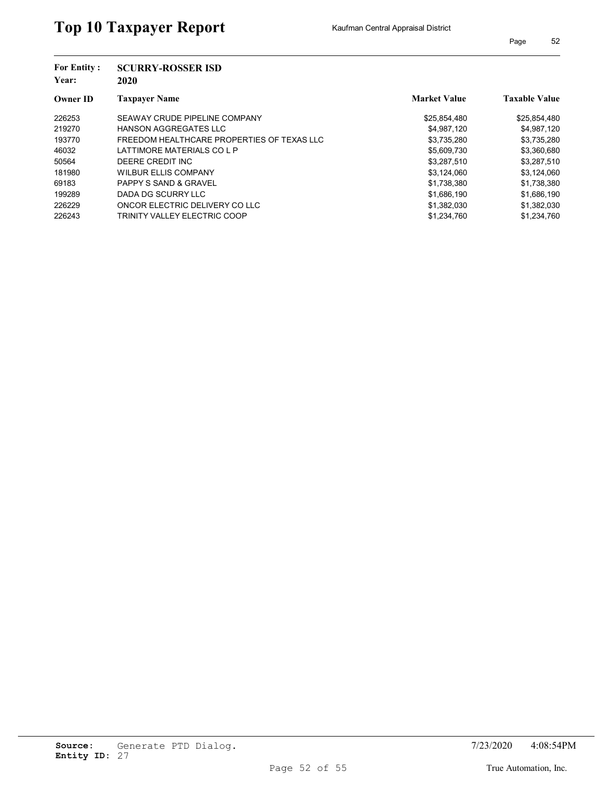| <b>For Entity:</b><br>Year: | <b>SCURRY-ROSSER ISD</b><br>2020           |                     |                      |  |
|-----------------------------|--------------------------------------------|---------------------|----------------------|--|
| <b>Owner ID</b>             | <b>Taxpayer Name</b>                       | <b>Market Value</b> | <b>Taxable Value</b> |  |
| 226253                      | SEAWAY CRUDE PIPELINE COMPANY              | \$25,854,480        | \$25,854,480         |  |
| 219270                      | <b>HANSON AGGREGATES LLC</b>               | \$4,987,120         | \$4,987,120          |  |
| 193770                      | FREEDOM HEALTHCARE PROPERTIES OF TEXAS LLC | \$3,735,280         | \$3,735,280          |  |
| 46032                       | LATTIMORE MATERIALS CO L P                 | \$5,609,730         | \$3,360,680          |  |
| 50564                       | DEERE CREDIT INC                           | \$3,287,510         | \$3,287,510          |  |
| 181980                      | <b>WILBUR ELLIS COMPANY</b>                | \$3,124,060         | \$3,124,060          |  |
| 69183                       | <b>PAPPY S SAND &amp; GRAVEL</b>           | \$1,738,380         | \$1,738,380          |  |
| 199289                      | DADA DG SCURRY LLC                         | \$1,686,190         | \$1,686,190          |  |
| 226229                      | ONCOR ELECTRIC DELIVERY CO LLC             | \$1,382,030         | \$1,382,030          |  |
| 226243                      | TRINITY VALLEY ELECTRIC COOP               | \$1,234,760         | \$1,234,760          |  |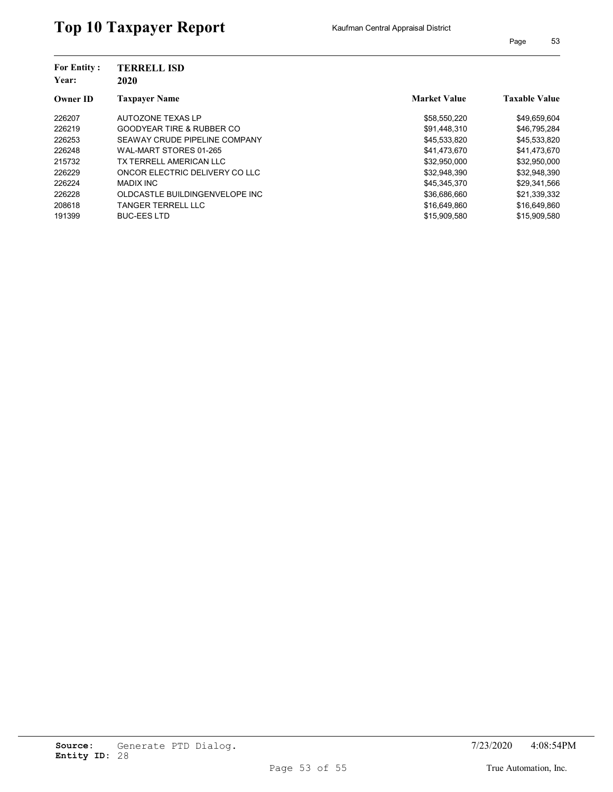| <b>For Entity:</b><br>Year:<br><b>Owner ID</b> | <b>TERRELL ISD</b><br>2020           |                     |                      |
|------------------------------------------------|--------------------------------------|---------------------|----------------------|
|                                                | <b>Taxpaver Name</b>                 | <b>Market Value</b> | <b>Taxable Value</b> |
| 226207                                         | AUTOZONE TEXAS LP                    | \$58,550,220        | \$49,659,604         |
| 226219                                         | <b>GOODYEAR TIRE &amp; RUBBER CO</b> | \$91,448,310        | \$46,795,284         |
| 226253                                         | SEAWAY CRUDE PIPELINE COMPANY        | \$45,533,820        | \$45,533,820         |
| 226248                                         | WAL-MART STORES 01-265               | \$41,473,670        | \$41,473,670         |
| 215732                                         | TX TERRELL AMERICAN LLC              | \$32,950,000        | \$32,950,000         |
| 226229                                         | ONCOR ELECTRIC DELIVERY CO LLC       | \$32,948,390        | \$32,948,390         |
| 226224                                         | <b>MADIX INC</b>                     | \$45,345,370        | \$29,341,566         |
| 226228                                         | OLDCASTLE BUILDINGENVELOPE INC       | \$36,686,660        | \$21,339,332         |
| 208618                                         | TANGER TERRELL LLC                   | \$16,649,860        | \$16,649,860         |
| 191399                                         | <b>BUC-EES LTD</b>                   | \$15,909,580        | \$15,909.580         |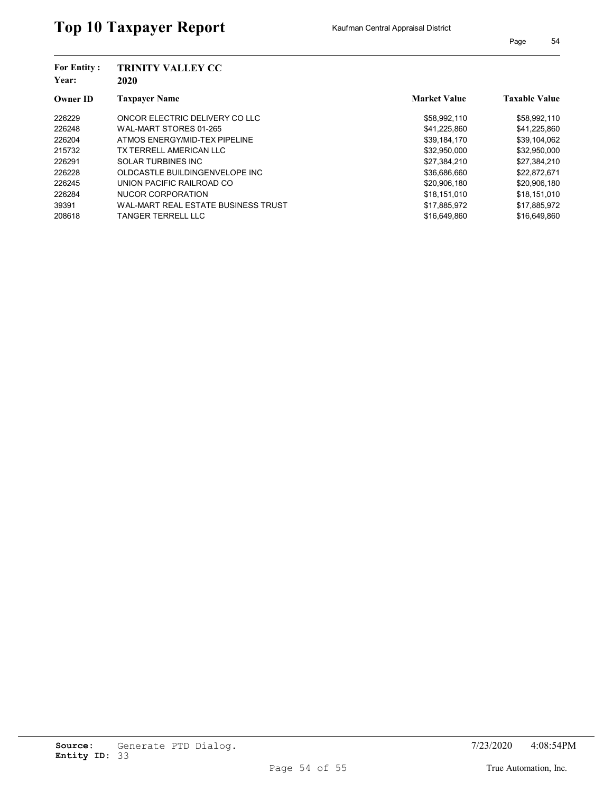| <b>For Entity:</b><br>Year:<br><b>Owner ID</b> | TRINITY VALLEY CC<br>2020           |                     |                      |  |
|------------------------------------------------|-------------------------------------|---------------------|----------------------|--|
|                                                | <b>Taxpaver Name</b>                | <b>Market Value</b> | <b>Taxable Value</b> |  |
| 226229                                         | ONCOR ELECTRIC DELIVERY CO LLC      | \$58,992,110        | \$58,992,110         |  |
| 226248                                         | WAL-MART STORES 01-265              | \$41,225,860        | \$41,225,860         |  |
| 226204                                         | ATMOS ENERGY/MID-TEX PIPELINE       | \$39,184,170        | \$39,104,062         |  |
| 215732                                         | TX TERRELL AMERICAN LLC             | \$32,950,000        | \$32,950,000         |  |
| 226291                                         | SOLAR TURBINES INC                  | \$27,384,210        | \$27,384,210         |  |
| 226228                                         | OLDCASTLE BUILDINGENVELOPE INC      | \$36,686,660        | \$22,872,671         |  |
| 226245                                         | UNION PACIFIC RAILROAD CO           | \$20,906,180        | \$20,906,180         |  |
| 226284                                         | NUCOR CORPORATION                   | \$18,151,010        | \$18,151,010         |  |
| 39391                                          | WAL-MART REAL ESTATE BUSINESS TRUST | \$17,885,972        | \$17,885,972         |  |
| 208618                                         | TANGER TERRELL LLC                  | \$16,649,860        | \$16,649.860         |  |